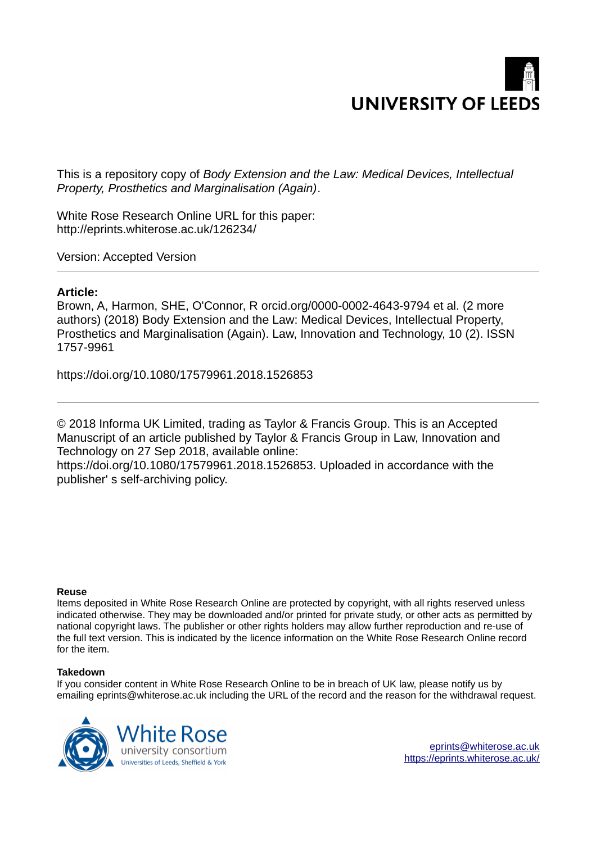

This is a repository copy of *Body Extension and the Law: Medical Devices, Intellectual Property, Prosthetics and Marginalisation (Again)*.

White Rose Research Online URL for this paper: http://eprints.whiterose.ac.uk/126234/

Version: Accepted Version

# **Article:**

Brown, A, Harmon, SHE, O'Connor, R orcid.org/0000-0002-4643-9794 et al. (2 more authors) (2018) Body Extension and the Law: Medical Devices, Intellectual Property, Prosthetics and Marginalisation (Again). Law, Innovation and Technology, 10 (2). ISSN 1757-9961

https://doi.org/10.1080/17579961.2018.1526853

© 2018 Informa UK Limited, trading as Taylor & Francis Group. This is an Accepted Manuscript of an article published by Taylor & Francis Group in Law, Innovation and Technology on 27 Sep 2018, available online:

https://doi.org/10.1080/17579961.2018.1526853. Uploaded in accordance with the publisher' s self-archiving policy.

#### **Reuse**

Items deposited in White Rose Research Online are protected by copyright, with all rights reserved unless indicated otherwise. They may be downloaded and/or printed for private study, or other acts as permitted by national copyright laws. The publisher or other rights holders may allow further reproduction and re-use of the full text version. This is indicated by the licence information on the White Rose Research Online record for the item.

#### **Takedown**

If you consider content in White Rose Research Online to be in breach of UK law, please notify us by emailing eprints@whiterose.ac.uk including the URL of the record and the reason for the withdrawal request.

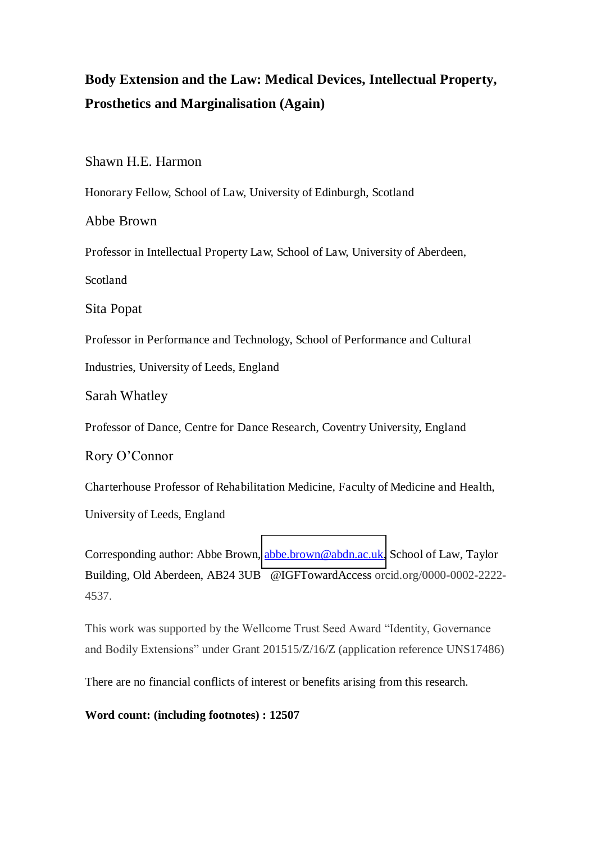# **Body Extension and the Law: Medical Devices, Intellectual Property, Prosthetics and Marginalisation (Again)**

Shawn H.E. Harmon

Honorary Fellow, School of Law, University of Edinburgh, Scotland

# Abbe Brown

Professor in Intellectual Property Law, School of Law, University of Aberdeen,

Scotland

Sita Popat

Professor in Performance and Technology, School of Performance and Cultural Industries, University of Leeds, England

Sarah Whatley

Professor of Dance, Centre for Dance Research, Coventry University, England

Rory O'Connor

Charterhouse Professor of Rehabilitation Medicine, Faculty of Medicine and Health,

University of Leeds, England

Corresponding author: Abbe Brown, [abbe.brown@abdn.ac.uk,](mailto:abbe.brown@abdn.ac.uk) School of Law, Taylor Building, Old Aberdeen, AB24 3UB @IGFTowardAccess orcid.org/0000-0002-2222- 4537.

This work was supported by the Wellcome Trust Seed Award "Identity, Governance and Bodily Extensions" under Grant 201515/Z/16/Z (application reference UNS17486)

There are no financial conflicts of interest or benefits arising from this research.

**Word count: (including footnotes) : 12507**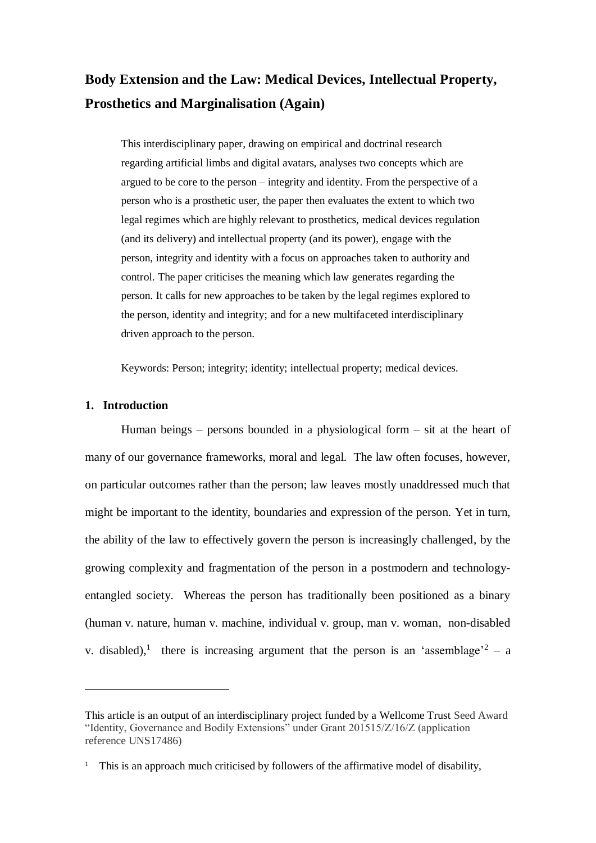# **Body Extension and the Law: Medical Devices, Intellectual Property, Prosthetics and Marginalisation (Again)**

This interdisciplinary paper, drawing on empirical and doctrinal research regarding artificial limbs and digital avatars, analyses two concepts which are argued to be core to the person – integrity and identity. From the perspective of a person who is a prosthetic user, the paper then evaluates the extent to which two legal regimes which are highly relevant to prosthetics, medical devices regulation (and its delivery) and intellectual property (and its power), engage with the person, integrity and identity with a focus on approaches taken to authority and control. The paper criticises the meaning which law generates regarding the person. It calls for new approaches to be taken by the legal regimes explored to the person, identity and integrity; and for a new multifaceted interdisciplinary driven approach to the person.

Keywords: Person; integrity; identity; intellectual property; medical devices.

### **1. Introduction**

 $\overline{a}$ 

Human beings – persons bounded in a physiological form – sit at the heart of many of our governance frameworks, moral and legal. The law often focuses, however, on particular outcomes rather than the person; law leaves mostly unaddressed much that might be important to the identity, boundaries and expression of the person. Yet in turn, the ability of the law to effectively govern the person is increasingly challenged, by the growing complexity and fragmentation of the person in a postmodern and technologyentangled society. Whereas the person has traditionally been positioned as a binary (human v. nature, human v. machine, individual v. group, man v. woman, non-disabled v. disabled),<sup>1</sup> there is increasing argument that the person is an 'assemblage'<sup>2</sup> – a

This article is an output of an interdisciplinary project funded by a Wellcome Trust Seed Award "Identity, Governance and Bodily Extensions" under Grant 201515/Z/16/Z (application reference UNS17486)

<sup>&</sup>lt;sup>1</sup> This is an approach much criticised by followers of the affirmative model of disability,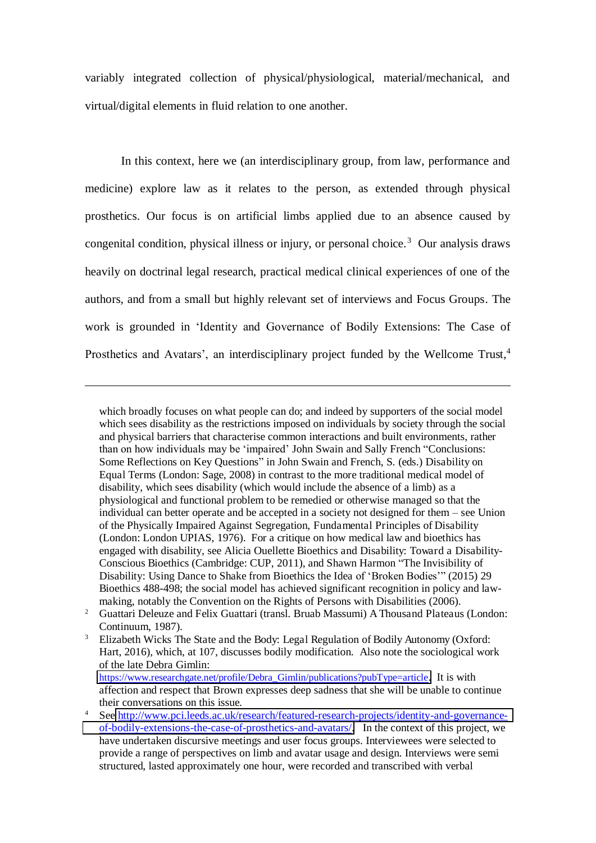variably integrated collection of physical/physiological, material/mechanical, and virtual/digital elements in fluid relation to one another.

In this context, here we (an interdisciplinary group, from law, performance and medicine) explore law as it relates to the person, as extended through physical prosthetics. Our focus is on artificial limbs applied due to an absence caused by congenital condition, physical illness or injury, or personal choice.<sup>3</sup> Our analysis draws heavily on doctrinal legal research, practical medical clinical experiences of one of the authors, and from a small but highly relevant set of interviews and Focus Groups. The work is grounded in 'Identity and Governance of Bodily Extensions: The Case of Prosthetics and Avatars', an interdisciplinary project funded by the Wellcome Trust,<sup>4</sup>

 $\overline{a}$ 

which broadly focuses on what people can do; and indeed by supporters of the social model which sees disability as the restrictions imposed on individuals by society through the social and physical barriers that characterise common interactions and built environments, rather than on how individuals may be 'impaired' John Swain and Sally French "Conclusions: Some Reflections on Key Questions" in John Swain and French, S. (eds.) Disability on Equal Terms (London: Sage, 2008) in contrast to the more traditional medical model of disability, which sees disability (which would include the absence of a limb) as a physiological and functional problem to be remedied or otherwise managed so that the individual can better operate and be accepted in a society not designed for them – see Union of the Physically Impaired Against Segregation, Fundamental Principles of Disability (London: London UPIAS, 1976). For a critique on how medical law and bioethics has engaged with disability, see Alicia Ouellette Bioethics and Disability: Toward a Disability-Conscious Bioethics (Cambridge: CUP, 2011), and Shawn Harmon "The Invisibility of Disability: Using Dance to Shake from Bioethics the Idea of 'Broken Bodies'" (2015) 29 Bioethics 488-498; the social model has achieved significant recognition in policy and lawmaking, notably the Convention on the Rights of Persons with Disabilities (2006).

<sup>&</sup>lt;sup>2</sup> Guattari Deleuze and Felix Guattari (transl. Bruab Massumi) A Thousand Plateaus (London: Continuum, 1987).

<sup>3</sup> Elizabeth Wicks The State and the Body: Legal Regulation of Bodily Autonomy (Oxford: Hart, 2016), which, at 107, discusses bodily modification. Also note the sociological work of the late Debra Gimlin: https://www.researchgate.net/profile/Debra Gimlin/publications?pubType=article. It is with affection and respect that Brown expresses deep sadness that she will be unable to continue their conversations on this issue.

<sup>4</sup> See [http://www.pci.leeds.ac.uk/research/featured-research-projects/identity-and-governance](http://www.pci.leeds.ac.uk/research/featured-research-projects/identity-and-governance-of-bodily-extensions-the-case-of-prosthetics-and-avatars/)[of-bodily-extensions-the-case-of-prosthetics-and-avatars/.](http://www.pci.leeds.ac.uk/research/featured-research-projects/identity-and-governance-of-bodily-extensions-the-case-of-prosthetics-and-avatars/) In the context of this project, we have undertaken discursive meetings and user focus groups. Interviewees were selected to provide a range of perspectives on limb and avatar usage and design. Interviews were semi structured, lasted approximately one hour, were recorded and transcribed with verbal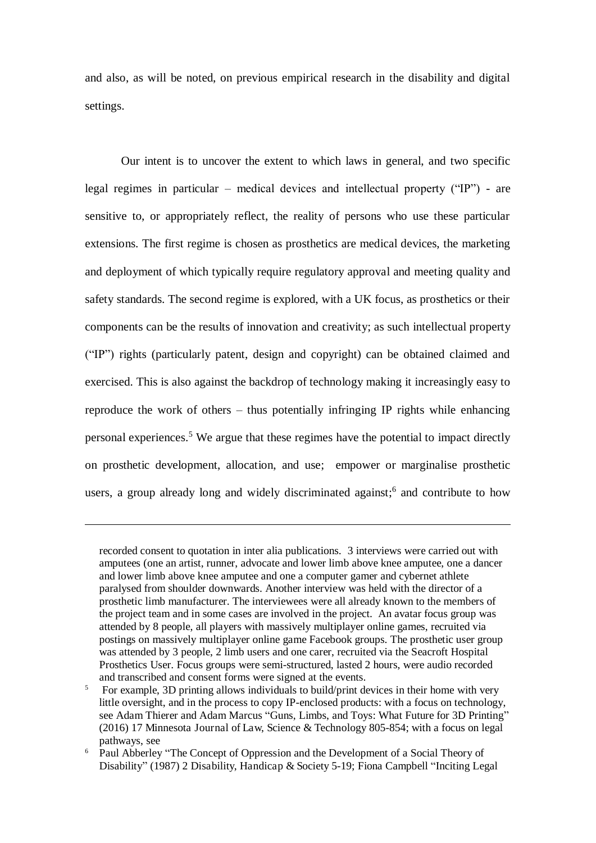and also, as will be noted, on previous empirical research in the disability and digital settings.

Our intent is to uncover the extent to which laws in general, and two specific legal regimes in particular – medical devices and intellectual property ("IP") - are sensitive to, or appropriately reflect, the reality of persons who use these particular extensions. The first regime is chosen as prosthetics are medical devices, the marketing and deployment of which typically require regulatory approval and meeting quality and safety standards. The second regime is explored, with a UK focus, as prosthetics or their components can be the results of innovation and creativity; as such intellectual property ("IP") rights (particularly patent, design and copyright) can be obtained claimed and exercised. This is also against the backdrop of technology making it increasingly easy to reproduce the work of others – thus potentially infringing IP rights while enhancing personal experiences.<sup>5</sup> We argue that these regimes have the potential to impact directly on prosthetic development, allocation, and use; empower or marginalise prosthetic users, a group already long and widely discriminated against;<sup>6</sup> and contribute to how

recorded consent to quotation in inter alia publications. 3 interviews were carried out with amputees (one an artist, runner, advocate and lower limb above knee amputee, one a dancer and lower limb above knee amputee and one a computer gamer and cybernet athlete paralysed from shoulder downwards. Another interview was held with the director of a prosthetic limb manufacturer. The interviewees were all already known to the members of the project team and in some cases are involved in the project. An avatar focus group was attended by 8 people, all players with massively multiplayer online games, recruited via postings on massively multiplayer online game Facebook groups. The prosthetic user group was attended by 3 people, 2 limb users and one carer, recruited via the Seacroft Hospital Prosthetics User. Focus groups were semi-structured, lasted 2 hours, were audio recorded and transcribed and consent forms were signed at the events.

<sup>5</sup> For example, 3D printing allows individuals to build/print devices in their home with very little oversight, and in the process to copy IP-enclosed products: with a focus on technology, see Adam Thierer and Adam Marcus "Guns, Limbs, and Toys: What Future for 3D Printing" (2016) 17 Minnesota Journal of Law, Science & Technology 805-854; with a focus on legal pathways, see

<sup>&</sup>lt;sup>6</sup> Paul Abberley "The Concept of Oppression and the Development of a Social Theory of Disability" (1987) 2 Disability, Handicap & Society 5-19; Fiona Campbell "Inciting Legal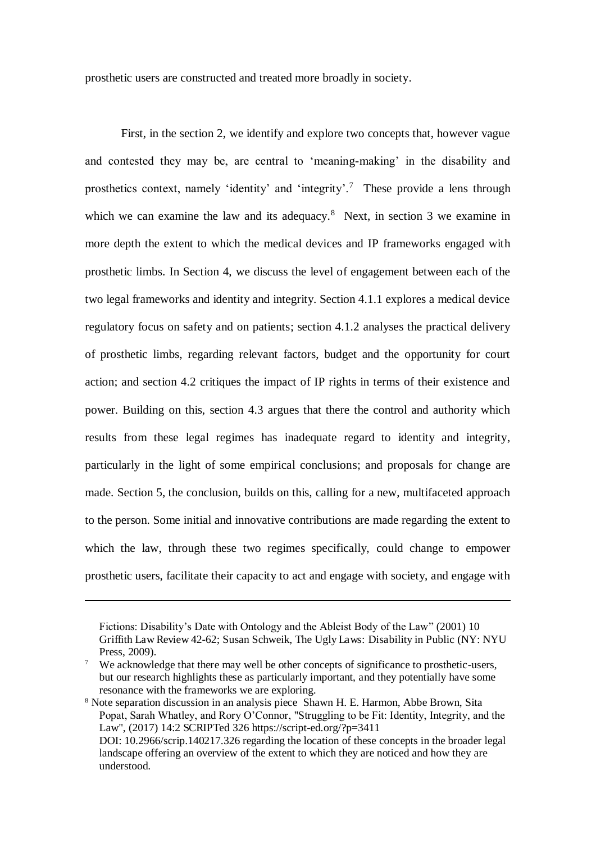prosthetic users are constructed and treated more broadly in society.

First, in the section 2, we identify and explore two concepts that, however vague and contested they may be, are central to 'meaning-making' in the disability and prosthetics context, namely 'identity' and 'integrity'.<sup>7</sup> These provide a lens through which we can examine the law and its adequacy.<sup>8</sup> Next, in section 3 we examine in more depth the extent to which the medical devices and IP frameworks engaged with prosthetic limbs. In Section 4, we discuss the level of engagement between each of the two legal frameworks and identity and integrity. Section 4.1.1 explores a medical device regulatory focus on safety and on patients; section 4.1.2 analyses the practical delivery of prosthetic limbs, regarding relevant factors, budget and the opportunity for court action; and section 4.2 critiques the impact of IP rights in terms of their existence and power. Building on this, section 4.3 argues that there the control and authority which results from these legal regimes has inadequate regard to identity and integrity, particularly in the light of some empirical conclusions; and proposals for change are made. Section 5, the conclusion, builds on this, calling for a new, multifaceted approach to the person. Some initial and innovative contributions are made regarding the extent to which the law, through these two regimes specifically, could change to empower prosthetic users, facilitate their capacity to act and engage with society, and engage with

 $\overline{a}$ 

understood.

Fictions: Disability's Date with Ontology and the Ableist Body of the Law" (2001) 10 Griffith Law Review 42-62; Susan Schweik, The Ugly Laws: Disability in Public (NY: NYU Press, 2009).

<sup>7</sup> We acknowledge that there may well be other concepts of significance to prosthetic-users, but our research highlights these as particularly important, and they potentially have some resonance with the frameworks we are exploring.

<sup>&</sup>lt;sup>8</sup> Note separation discussion in an analysis piece Shawn H. E. Harmon, Abbe Brown, Sita Popat, Sarah Whatley, and Rory O'Connor, "Struggling to be Fit: Identity, Integrity, and the Law", (2017) 14:2 SCRIPTed 326 https://script-ed.org/?p=3411 DOI: 10.2966/scrip.140217.326 regarding the location of these concepts in the broader legal landscape offering an overview of the extent to which they are noticed and how they are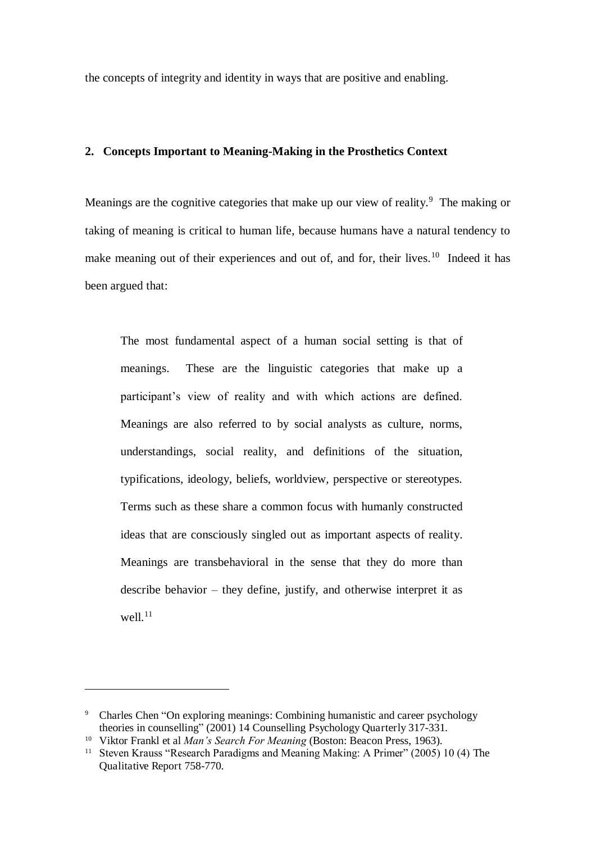the concepts of integrity and identity in ways that are positive and enabling.

#### **2. Concepts Important to Meaning-Making in the Prosthetics Context**

Meanings are the cognitive categories that make up our view of reality.<sup>9</sup> The making or taking of meaning is critical to human life, because humans have a natural tendency to make meaning out of their experiences and out of, and for, their lives.<sup>10</sup> Indeed it has been argued that:

The most fundamental aspect of a human social setting is that of meanings. These are the linguistic categories that make up a participant's view of reality and with which actions are defined. Meanings are also referred to by social analysts as culture, norms, understandings, social reality, and definitions of the situation, typifications, ideology, beliefs, worldview, perspective or stereotypes. Terms such as these share a common focus with humanly constructed ideas that are consciously singled out as important aspects of reality. Meanings are transbehavioral in the sense that they do more than describe behavior – they define, justify, and otherwise interpret it as well. $^{11}$ 

<sup>&</sup>lt;sup>9</sup> Charles Chen "On exploring meanings: Combining humanistic and career psychology theories in counselling" (2001) 14 Counselling Psychology Quarterly 317-331.

<sup>10</sup> Viktor Frankl et al *Man's Search For Meaning* (Boston: Beacon Press, 1963).

<sup>&</sup>lt;sup>11</sup> Steven Krauss "Research Paradigms and Meaning Making: A Primer" (2005) 10 (4) The Qualitative Report 758-770.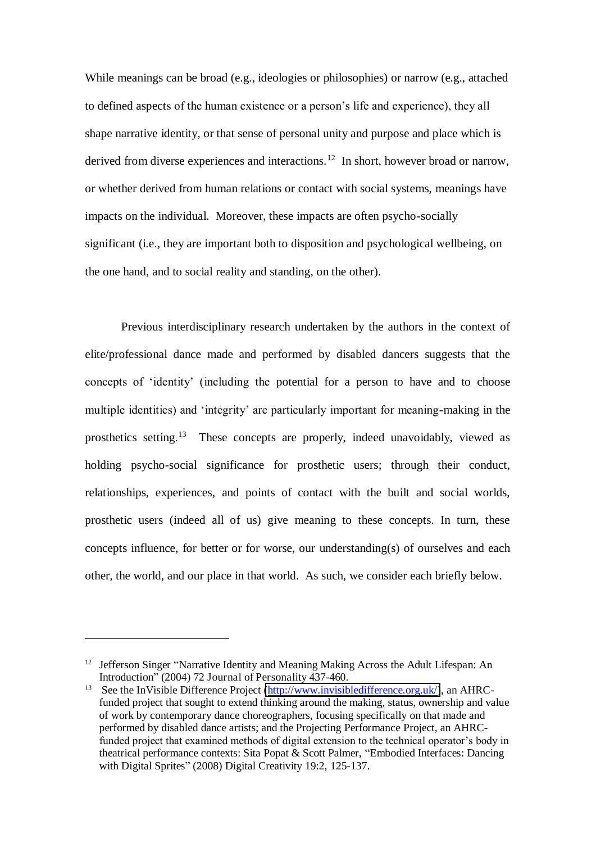While meanings can be broad (e.g., ideologies or philosophies) or narrow (e.g., attached to defined aspects of the human existence or a person's life and experience), they all shape narrative identity, or that sense of personal unity and purpose and place which is derived from diverse experiences and interactions.<sup>12</sup> In short, however broad or narrow, or whether derived from human relations or contact with social systems, meanings have impacts on the individual. Moreover, these impacts are often psycho-socially significant (i.e., they are important both to disposition and psychological wellbeing, on the one hand, and to social reality and standing, on the other).

Previous interdisciplinary research undertaken by the authors in the context of elite/professional dance made and performed by disabled dancers suggests that the concepts of 'identity' (including the potential for a person to have and to choose multiple identities) and 'integrity' are particularly important for meaning-making in the prosthetics setting.<sup>13</sup> These concepts are properly, indeed unavoidably, viewed as holding psycho-social significance for prosthetic users; through their conduct, relationships, experiences, and points of contact with the built and social worlds, prosthetic users (indeed all of us) give meaning to these concepts. In turn, these concepts influence, for better or for worse, our understanding(s) of ourselves and each other, the world, and our place in that world. As such, we consider each briefly below.

<sup>&</sup>lt;sup>12</sup> Jefferson Singer "Narrative Identity and Meaning Making Across the Adult Lifespan: An Introduction" (2004) 72 Journal of Personality 437-460.

<sup>&</sup>lt;sup>13</sup> See the InVisible Difference Project [\(http://www.invisibledifference.org.uk/\)](http://www.invisibledifference.org.uk/), an AHRCfunded project that sought to extend thinking around the making, status, ownership and value of work by contemporary dance choreographers, focusing specifically on that made and performed by disabled dance artists; and the Projecting Performance Project, an AHRCfunded project that examined methods of digital extension to the technical operator's body in theatrical performance contexts: Sita Popat & Scott Palmer, "Embodied Interfaces: Dancing with Digital Sprites" (2008) Digital Creativity 19:2, 125-137.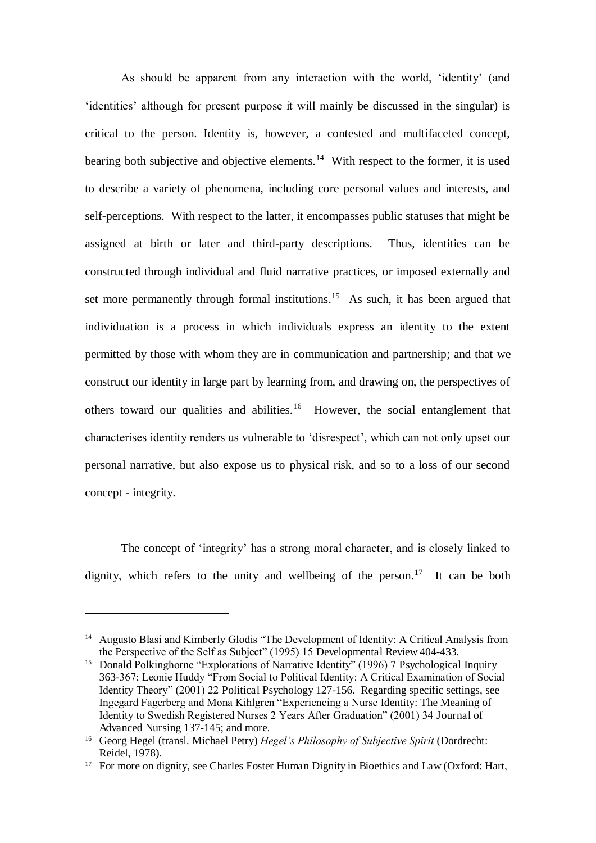As should be apparent from any interaction with the world, 'identity' (and 'identities' although for present purpose it will mainly be discussed in the singular) is critical to the person. Identity is, however, a contested and multifaceted concept, bearing both subjective and objective elements.<sup>14</sup> With respect to the former, it is used to describe a variety of phenomena, including core personal values and interests, and self-perceptions. With respect to the latter, it encompasses public statuses that might be assigned at birth or later and third-party descriptions. Thus, identities can be constructed through individual and fluid narrative practices, or imposed externally and set more permanently through formal institutions.<sup>15</sup> As such, it has been argued that individuation is a process in which individuals express an identity to the extent permitted by those with whom they are in communication and partnership; and that we construct our identity in large part by learning from, and drawing on, the perspectives of others toward our qualities and abilities.<sup>16</sup> However, the social entanglement that characterises identity renders us vulnerable to 'disrespect', which can not only upset our personal narrative, but also expose us to physical risk, and so to a loss of our second concept - integrity.

The concept of 'integrity' has a strong moral character, and is closely linked to dignity, which refers to the unity and wellbeing of the person.<sup>17</sup> It can be both

<sup>&</sup>lt;sup>14</sup> Augusto Blasi and Kimberly Glodis "The Development of Identity: A Critical Analysis from the Perspective of the Self as Subject" (1995) 15 Developmental Review 404-433.

<sup>&</sup>lt;sup>15</sup> Donald Polkinghorne "Explorations of Narrative Identity" (1996) 7 Psychological Inquiry 363-367; Leonie Huddy "From Social to Political Identity: A Critical Examination of Social Identity Theory" (2001) 22 Political Psychology 127-156. Regarding specific settings, see Ingegard Fagerberg and Mona Kihlgren "Experiencing a Nurse Identity: The Meaning of Identity to Swedish Registered Nurses 2 Years After Graduation" (2001) 34 Journal of Advanced Nursing 137-145; and more.

<sup>16</sup> Georg Hegel (transl. Michael Petry) *Hegel's Philosophy of Subjective Spirit* (Dordrecht: Reidel, 1978).

<sup>&</sup>lt;sup>17</sup> For more on dignity, see Charles Foster Human Dignity in Bioethics and Law (Oxford: Hart,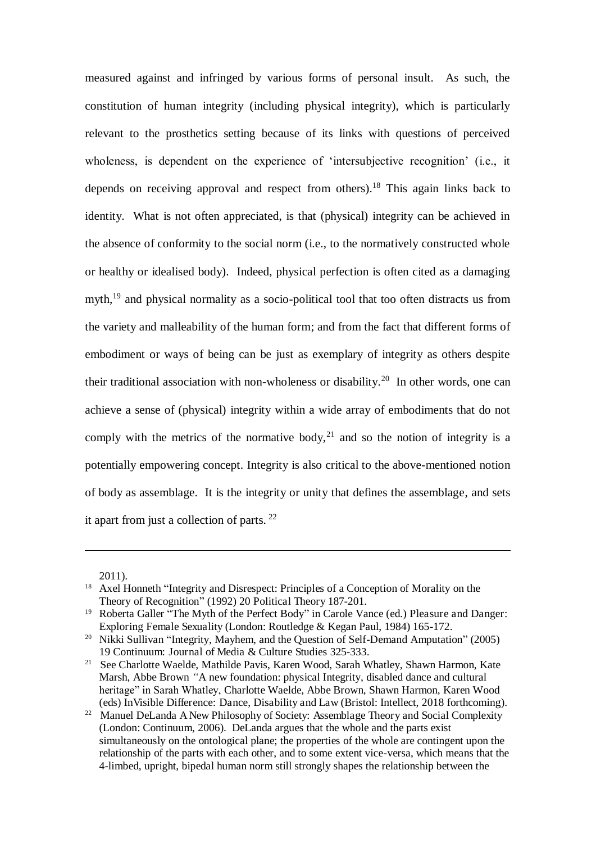measured against and infringed by various forms of personal insult. As such, the constitution of human integrity (including physical integrity), which is particularly relevant to the prosthetics setting because of its links with questions of perceived wholeness, is dependent on the experience of 'intersubjective recognition' (i.e., it depends on receiving approval and respect from others).<sup>18</sup> This again links back to identity. What is not often appreciated, is that (physical) integrity can be achieved in the absence of conformity to the social norm (i.e., to the normatively constructed whole or healthy or idealised body). Indeed, physical perfection is often cited as a damaging myth,<sup>19</sup> and physical normality as a socio-political tool that too often distracts us from the variety and malleability of the human form; and from the fact that different forms of embodiment or ways of being can be just as exemplary of integrity as others despite their traditional association with non-wholeness or disability.<sup>20</sup> In other words, one can achieve a sense of (physical) integrity within a wide array of embodiments that do not comply with the metrics of the normative body,  $2<sup>1</sup>$  and so the notion of integrity is a potentially empowering concept. Integrity is also critical to the above-mentioned notion of body as assemblage. It is the integrity or unity that defines the assemblage, and sets it apart from just a collection of parts.  $22$ 

2011).

<sup>&</sup>lt;sup>18</sup> Axel Honneth "Integrity and Disrespect: Principles of a Conception of Morality on the Theory of Recognition" (1992) 20 Political Theory 187-201.

<sup>&</sup>lt;sup>19</sup> Roberta Galler "The Myth of the Perfect Body" in Carole Vance (ed.) Pleasure and Danger: Exploring Female Sexuality (London: Routledge & Kegan Paul, 1984) 165-172.

<sup>&</sup>lt;sup>20</sup> Nikki Sullivan "Integrity, Mayhem, and the Question of Self-Demand Amputation" (2005) 19 Continuum: Journal of Media & Culture Studies 325-333.

<sup>21</sup> See Charlotte Waelde, Mathilde Pavis, Karen Wood, Sarah Whatley, Shawn Harmon, Kate Marsh, Abbe Brown *"*A new foundation: physical Integrity, disabled dance and cultural heritage" in Sarah Whatley, Charlotte Waelde, Abbe Brown, Shawn Harmon, Karen Wood (eds) InVisible Difference: Dance, Disability and Law (Bristol: Intellect, 2018 forthcoming).

<sup>&</sup>lt;sup>22</sup> Manuel DeLanda A New Philosophy of Society: Assemblage Theory and Social Complexity (London: Continuum, 2006). DeLanda argues that the whole and the parts exist simultaneously on the ontological plane; the properties of the whole are contingent upon the relationship of the parts with each other, and to some extent vice-versa, which means that the 4-limbed, upright, bipedal human norm still strongly shapes the relationship between the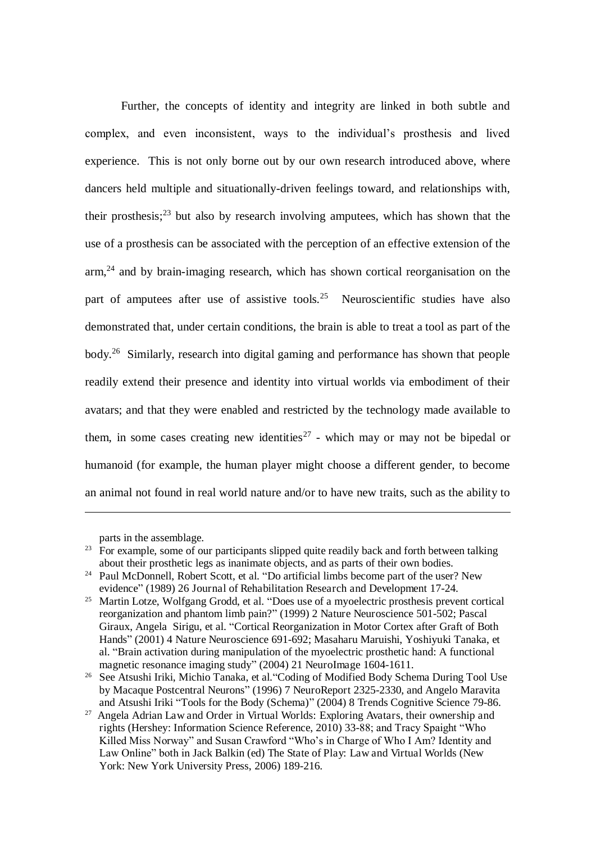Further, the concepts of identity and integrity are linked in both subtle and complex, and even inconsistent, ways to the individual's prosthesis and lived experience. This is not only borne out by our own research introduced above, where dancers held multiple and situationally-driven feelings toward, and relationships with, their prosthesis;<sup>23</sup> but also by research involving amputees, which has shown that the use of a prosthesis can be associated with the perception of an effective extension of the  $arm<sup>24</sup>$  and by brain-imaging research, which has shown cortical reorganisation on the part of amputees after use of assistive tools.<sup>25</sup> Neuroscientific studies have also demonstrated that, under certain conditions, the brain is able to treat a tool as part of the body.<sup>26</sup> Similarly, research into digital gaming and performance has shown that people readily extend their presence and identity into virtual worlds via embodiment of their avatars; and that they were enabled and restricted by the technology made available to them, in some cases creating new identities<sup>27</sup> - which may or may not be bipedal or humanoid (for example, the human player might choose a different gender, to become an animal not found in real world nature and/or to have new traits, such as the ability to

parts in the assemblage.

 $23$  For example, some of our participants slipped quite readily back and forth between talking about their prosthetic legs as inanimate objects, and as parts of their own bodies.

<sup>&</sup>lt;sup>24</sup> Paul McDonnell, Robert Scott, et al. "Do artificial limbs become part of the user? New evidence" (1989) 26 Journal of Rehabilitation Research and Development 17-24.

<sup>&</sup>lt;sup>25</sup> Martin Lotze, Wolfgang Grodd, et al. "Does use of a myoelectric prosthesis prevent cortical reorganization and phantom limb pain?" (1999) 2 Nature Neuroscience 501-502; Pascal Giraux, Angela Sirigu, et al. "Cortical Reorganization in Motor Cortex after Graft of Both Hands" (2001) 4 Nature Neuroscience 691-692; Masaharu Maruishi, Yoshiyuki Tanaka, et al. "Brain activation during manipulation of the myoelectric prosthetic hand: A functional magnetic resonance imaging study" (2004) 21 NeuroImage 1604-1611.

<sup>26</sup> See Atsushi Iriki, Michio Tanaka, et al."Coding of Modified Body Schema During Tool Use by Macaque Postcentral Neurons" (1996) 7 NeuroReport 2325-2330, and Angelo Maravita and Atsushi Iriki "Tools for the Body (Schema)" (2004) 8 Trends Cognitive Science 79-86.

<sup>27</sup> Angela Adrian Law and Order in Virtual Worlds: Exploring Avatars, their ownership and rights (Hershey: Information Science Reference, 2010) 33-88; and Tracy Spaight "Who Killed Miss Norway" and Susan Crawford "Who's in Charge of Who I Am? Identity and Law Online" both in Jack Balkin (ed) The State of Play: Law and Virtual Worlds (New York: New York University Press, 2006) 189-216.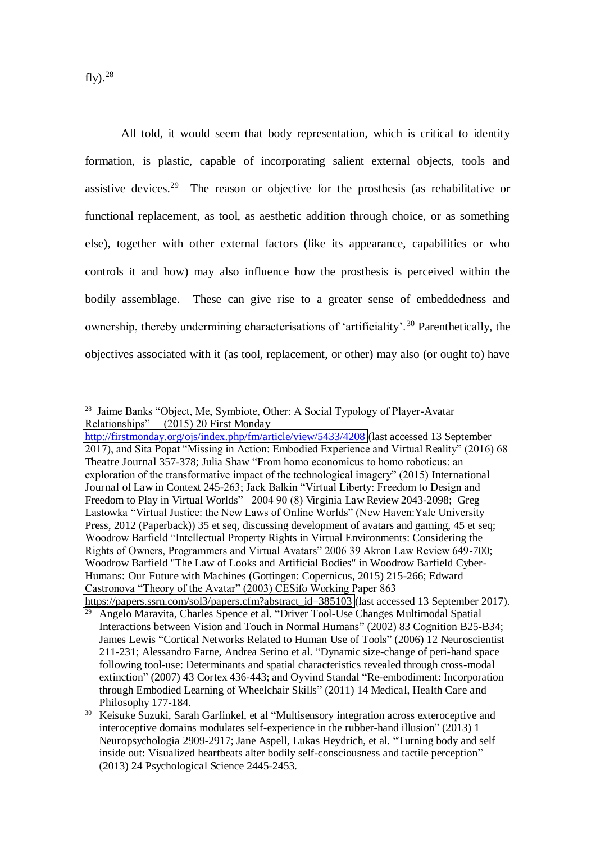fly $).^{28}$ 

 $\overline{a}$ 

All told, it would seem that body representation, which is critical to identity formation, is plastic, capable of incorporating salient external objects, tools and assistive devices.<sup>29</sup> The reason or objective for the prosthesis (as rehabilitative or functional replacement, as tool, as aesthetic addition through choice, or as something else), together with other external factors (like its appearance, capabilities or who controls it and how) may also influence how the prosthesis is perceived within the bodily assemblage. These can give rise to a greater sense of embeddedness and ownership, thereby undermining characterisations of 'artificiality'.<sup>30</sup> Parenthetically, the objectives associated with it (as tool, replacement, or other) may also (or ought to) have

<sup>28</sup> Jaime Banks "Object, Me, Symbiote, Other: A Social Typology of Player-Avatar Relationships" (2015) 20 First Monday

<http://firstmonday.org/ojs/index.php/fm/article/view/5433/4208>(last accessed 13 September 2017), and Sita Popat "Missing in Action: Embodied Experience and Virtual Reality" (2016) 68 Theatre Journal 357-378; Julia Shaw "From homo economicus to homo roboticus: an exploration of the transformative impact of the technological imagery" (2015) International Journal of Law in Context 245-263; Jack Balkin "Virtual Liberty: Freedom to Design and Freedom to Play in Virtual Worlds" 2004 90 (8) Virginia Law Review 2043-2098; Greg Lastowka "Virtual Justice: the New Laws of Online Worlds" (New Haven:Yale University Press, 2012 (Paperback)) 35 et seq, discussing development of avatars and gaming, 45 et seq; Woodrow Barfield "Intellectual Property Rights in Virtual Environments: Considering the Rights of Owners, Programmers and Virtual Avatars" 2006 39 Akron Law Review 649-700; Woodrow Barfield "The Law of Looks and Artificial Bodies" in Woodrow Barfield Cyber-Humans: Our Future with Machines (Gottingen: Copernicus, 2015) 215-266; Edward Castronova "Theory of the Avatar" (2003) CESifo Working Paper 863 [https://papers.ssrn.com/sol3/papers.cfm?abstract\\_id=385103](https://papers.ssrn.com/sol3/papers.cfm?abstract_id=385103) (last accessed 13 September 2017).

<sup>29</sup> Angelo Maravita, Charles Spence et al. "Driver Tool-Use Changes Multimodal Spatial Interactions between Vision and Touch in Normal Humans" (2002) 83 Cognition B25-B34; James Lewis "Cortical Networks Related to Human Use of Tools" (2006) 12 Neuroscientist 211-231; Alessandro Farne, Andrea Serino et al. "Dynamic size-change of peri-hand space following tool-use: Determinants and spatial characteristics revealed through cross-modal extinction" (2007) 43 Cortex 436-443; and Oyvind Standal "Re-embodiment: Incorporation through Embodied Learning of Wheelchair Skills" (2011) 14 Medical, Health Care and Philosophy 177-184.

<sup>30</sup> Keisuke Suzuki, Sarah Garfinkel, et al "Multisensory integration across exteroceptive and interoceptive domains modulates self-experience in the rubber-hand illusion" (2013) 1 Neuropsychologia 2909-2917; Jane Aspell, Lukas Heydrich, et al. "Turning body and self inside out: Visualized heartbeats alter bodily self-consciousness and tactile perception" (2013) 24 Psychological Science 2445-2453.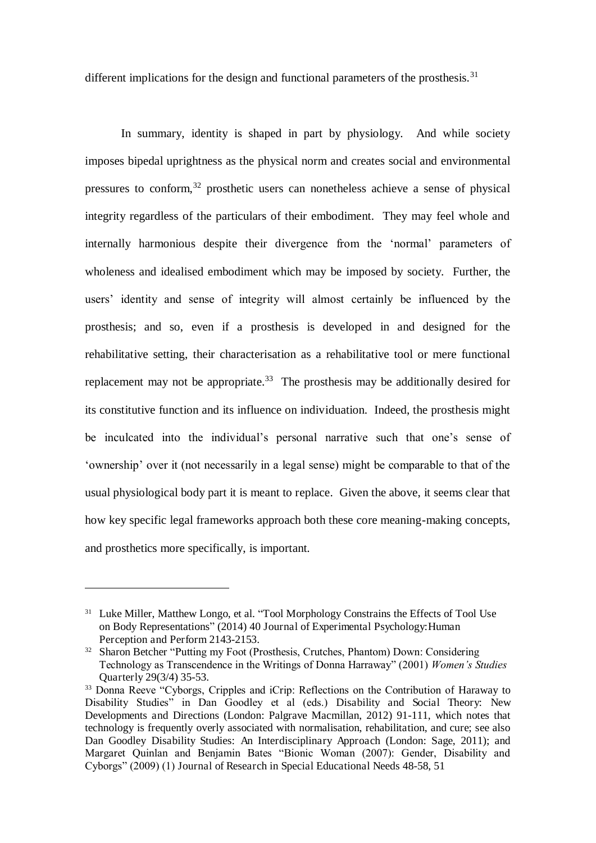different implications for the design and functional parameters of the prosthesis.<sup>31</sup>

In summary, identity is shaped in part by physiology. And while society imposes bipedal uprightness as the physical norm and creates social and environmental pressures to conform,<sup>32</sup> prosthetic users can nonetheless achieve a sense of physical integrity regardless of the particulars of their embodiment. They may feel whole and internally harmonious despite their divergence from the 'normal' parameters of wholeness and idealised embodiment which may be imposed by society. Further, the users' identity and sense of integrity will almost certainly be influenced by the prosthesis; and so, even if a prosthesis is developed in and designed for the rehabilitative setting, their characterisation as a rehabilitative tool or mere functional replacement may not be appropriate.<sup>33</sup> The prosthesis may be additionally desired for its constitutive function and its influence on individuation. Indeed, the prosthesis might be inculcated into the individual's personal narrative such that one's sense of 'ownership' over it (not necessarily in a legal sense) might be comparable to that of the usual physiological body part it is meant to replace. Given the above, it seems clear that how key specific legal frameworks approach both these core meaning-making concepts, and prosthetics more specifically, is important.

<sup>&</sup>lt;sup>31</sup> Luke Miller, Matthew Longo, et al. "Tool Morphology Constrains the Effects of Tool Use on Body Representations" (2014) 40 Journal of Experimental Psychology:Human Perception and Perform 2143-2153.

<sup>&</sup>lt;sup>32</sup> Sharon Betcher "Putting my Foot (Prosthesis, Crutches, Phantom) Down: Considering Technology as Transcendence in the Writings of Donna Harraway" (2001) *Women's Studies*  Quarterly 29(3/4) 35-53.

<sup>&</sup>lt;sup>33</sup> Donna Reeve "Cyborgs, Cripples and iCrip: Reflections on the Contribution of Haraway to Disability Studies" in Dan Goodley et al (eds.) Disability and Social Theory: New Developments and Directions (London: Palgrave Macmillan, 2012) 91-111, which notes that technology is frequently overly associated with normalisation, rehabilitation, and cure; see also Dan Goodley Disability Studies: An Interdisciplinary Approach (London: Sage, 2011); and Margaret Quinlan and Benjamin Bates "Bionic Woman (2007): Gender, Disability and Cyborgs" (2009) (1) Journal of Research in Special Educational Needs 48-58, 51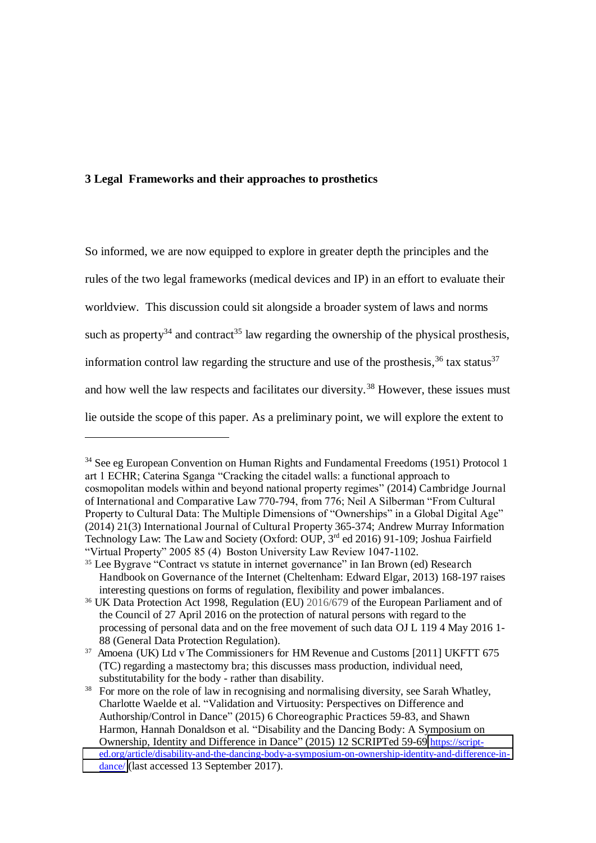#### **3 Legal Frameworks and their approaches to prosthetics**

 $\overline{a}$ 

So informed, we are now equipped to explore in greater depth the principles and the rules of the two legal frameworks (medical devices and IP) in an effort to evaluate their worldview. This discussion could sit alongside a broader system of laws and norms such as property<sup>34</sup> and contract<sup>35</sup> law regarding the ownership of the physical prosthesis, information control law regarding the structure and use of the prosthesis,  $36$  tax status  $37$ and how well the law respects and facilitates our diversity. <sup>38</sup> However, these issues must lie outside the scope of this paper. As a preliminary point, we will explore the extent to

<sup>34</sup> See eg European Convention on Human Rights and Fundamental Freedoms (1951) Protocol 1 art 1 ECHR; Caterina Sganga "Cracking the citadel walls: a functional approach to cosmopolitan models within and beyond national property regimes" (2014) Cambridge Journal of International and Comparative Law 770-794, from 776; Neil A Silberman "From Cultural Property to Cultural Data: The Multiple Dimensions of "Ownerships" in a Global Digital Age" (2014) 21(3) International Journal of Cultural Property 365-374; Andrew Murray Information Technology Law: The Law and Society (Oxford: OUP, 3<sup>rd</sup> ed 2016) 91-109; Joshua Fairfield "Virtual Property" 2005 85 (4) Boston University Law Review 1047-1102.

<sup>35</sup> Lee Bygrave "Contract vs statute in internet governance" in Ian Brown (ed) Research Handbook on Governance of the Internet (Cheltenham: Edward Elgar, 2013) 168-197 raises interesting questions on forms of regulation, flexibility and power imbalances.

<sup>36</sup> UK Data Protection Act 1998, Regulation (EU) 2016/679 of the European Parliament and of the Council of 27 April 2016 on the protection of natural persons with regard to the processing of personal data and on the free movement of such data OJ L 119 4 May 2016 1- 88 (General Data Protection Regulation).

<sup>&</sup>lt;sup>37</sup> Amoena (UK) Ltd v The Commissioners for HM Revenue and Customs [2011] UKFTT 675 (TC) regarding a mastectomy bra; this discusses mass production, individual need, substitutability for the body - rather than disability.

<sup>&</sup>lt;sup>38</sup> For more on the role of law in recognising and normalising diversity, see Sarah Whatley, Charlotte Waelde et al. "Validation and Virtuosity: Perspectives on Difference and Authorship/Control in Dance" (2015) 6 Choreographic Practices 59-83, and Shawn Harmon, Hannah Donaldson et al. "Disability and the Dancing Body: A Symposium on Ownership, Identity and Difference in Dance" (2015) 12 SCRIPTed 59-69 [https://script](https://script-ed.org/article/disability-and-the-dancing-body-a-symposium-on-ownership-identity-and-difference-in-dance/)[ed.org/article/disability-and-the-dancing-body-a-symposium-on-ownership-identity-and-difference-in](https://script-ed.org/article/disability-and-the-dancing-body-a-symposium-on-ownership-identity-and-difference-in-dance/)[dance/](https://script-ed.org/article/disability-and-the-dancing-body-a-symposium-on-ownership-identity-and-difference-in-dance/) (last accessed 13 September 2017).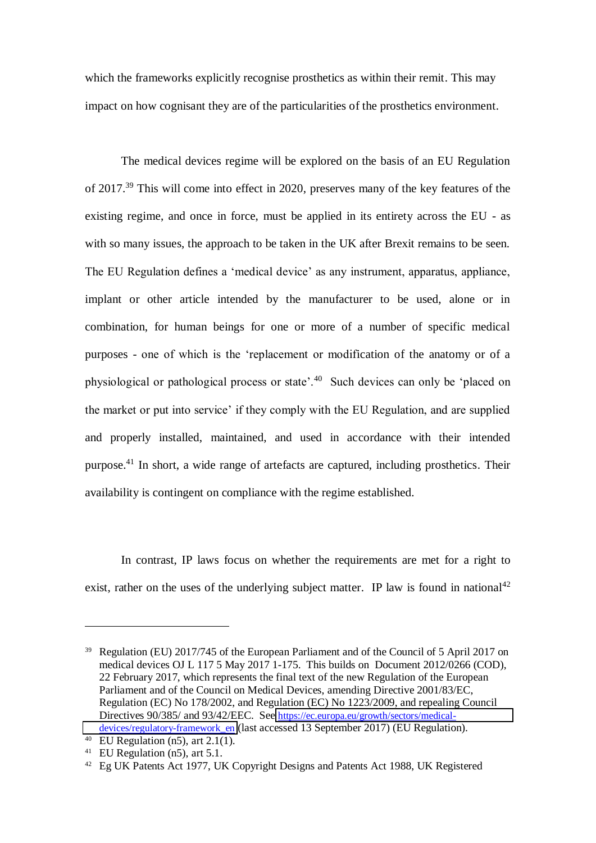which the frameworks explicitly recognise prosthetics as within their remit. This may impact on how cognisant they are of the particularities of the prosthetics environment.

The medical devices regime will be explored on the basis of an EU Regulation of 2017.<sup>39</sup> This will come into effect in 2020, preserves many of the key features of the existing regime, and once in force, must be applied in its entirety across the EU - as with so many issues, the approach to be taken in the UK after Brexit remains to be seen. The EU Regulation defines a 'medical device' as any instrument, apparatus, appliance, implant or other article intended by the manufacturer to be used, alone or in combination, for human beings for one or more of a number of specific medical purposes - one of which is the 'replacement or modification of the anatomy or of a physiological or pathological process or state'.<sup>40</sup> Such devices can only be 'placed on the market or put into service' if they comply with the EU Regulation, and are supplied and properly installed, maintained, and used in accordance with their intended purpose.<sup>41</sup> In short, a wide range of artefacts are captured, including prosthetics. Their availability is contingent on compliance with the regime established.

In contrast, IP laws focus on whether the requirements are met for a right to exist, rather on the uses of the underlying subject matter. IP law is found in national<sup>42</sup>

<sup>&</sup>lt;sup>39</sup> Regulation (EU) 2017/745 of the European Parliament and of the Council of 5 April 2017 on medical devices OJ L 117 5 May 2017 1-175. This builds on Document 2012/0266 (COD), 22 February 2017, which represents the final text of the new Regulation of the European Parliament and of the Council on Medical Devices, amending Directive 2001/83/EC, Regulation (EC) No 178/2002, and Regulation (EC) No 1223/2009, and repealing Council Directives 90/385/ and 93/42/EEC. See [https://ec.europa.eu/growth/sectors/medical](https://ec.europa.eu/growth/sectors/medical-devices/regulatory-framework_en)[devices/regulatory-framework\\_en](https://ec.europa.eu/growth/sectors/medical-devices/regulatory-framework_en) (last accessed 13 September 2017) (EU Regulation).

<sup>&</sup>lt;sup>40</sup> EU Regulation (n5), art 2.1(1).

<sup>&</sup>lt;sup>41</sup> EU Regulation (n5), art 5.1.

<sup>42</sup> Eg UK Patents Act 1977, UK Copyright Designs and Patents Act 1988, UK Registered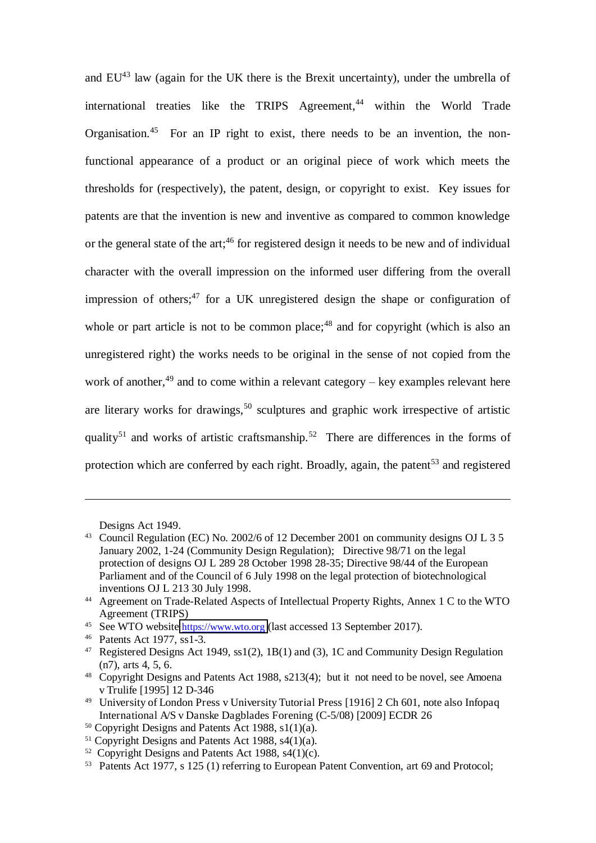and  $EU^{43}$  law (again for the UK there is the Brexit uncertainty), under the umbrella of international treaties like the TRIPS Agreement, $44$  within the World Trade Organisation.<sup>45</sup> For an IP right to exist, there needs to be an invention, the nonfunctional appearance of a product or an original piece of work which meets the thresholds for (respectively), the patent, design, or copyright to exist. Key issues for patents are that the invention is new and inventive as compared to common knowledge or the general state of the art;<sup>46</sup> for registered design it needs to be new and of individual character with the overall impression on the informed user differing from the overall impression of others;<sup>47</sup> for a UK unregistered design the shape or configuration of whole or part article is not to be common place; $48$  and for copyright (which is also an unregistered right) the works needs to be original in the sense of not copied from the work of another,  $49$  and to come within a relevant category – key examples relevant here are literary works for drawings,<sup>50</sup> sculptures and graphic work irrespective of artistic quality<sup>51</sup> and works of artistic craftsmanship.<sup>52</sup> There are differences in the forms of protection which are conferred by each right. Broadly, again, the patent<sup>53</sup> and registered

 $\overline{a}$ 

<sup>49</sup> University of London Press v University Tutorial Press [1916] 2 Ch 601, note also Infopaq International A/S v Danske Dagblades Forening (C-5/08) [2009] ECDR 26

Designs Act 1949.

<sup>&</sup>lt;sup>43</sup> Council Regulation (EC) No. 2002/6 of 12 December 2001 on community designs OJ L 3 5 January 2002, 1-24 (Community Design Regulation); Directive 98/71 on the legal protection of designs OJ L 289 28 October 1998 28-35; Directive 98/44 of the European Parliament and of the Council of 6 July 1998 on the legal protection of biotechnological inventions OJ L 213 30 July 1998.

<sup>44</sup> Agreement on Trade-Related Aspects of Intellectual Property Rights, Annex 1 C to the WTO Agreement (TRIPS)

<sup>&</sup>lt;sup>45</sup> See WTO website [https://www.wto.org](https://www.wto.org/) (last accessed 13 September 2017).

<sup>46</sup> Patents Act 1977, ss1-3.

<sup>47</sup> Registered Designs Act 1949, ss1(2), 1B(1) and (3), 1C and Community Design Regulation (n7), arts 4, 5, 6.

<sup>&</sup>lt;sup>48</sup> Copyright Designs and Patents Act 1988, s213(4); but it not need to be novel, see Amoena v Trulife [1995] 12 D-346

<sup>50</sup> Copyright Designs and Patents Act 1988, s1(1)(a).

 $51$  Copyright Designs and Patents Act 1988, s4(1)(a).

 $52$  Copyright Designs and Patents Act 1988, s4(1)(c).

<sup>&</sup>lt;sup>53</sup> Patents Act 1977, s 125 (1) referring to European Patent Convention, art 69 and Protocol;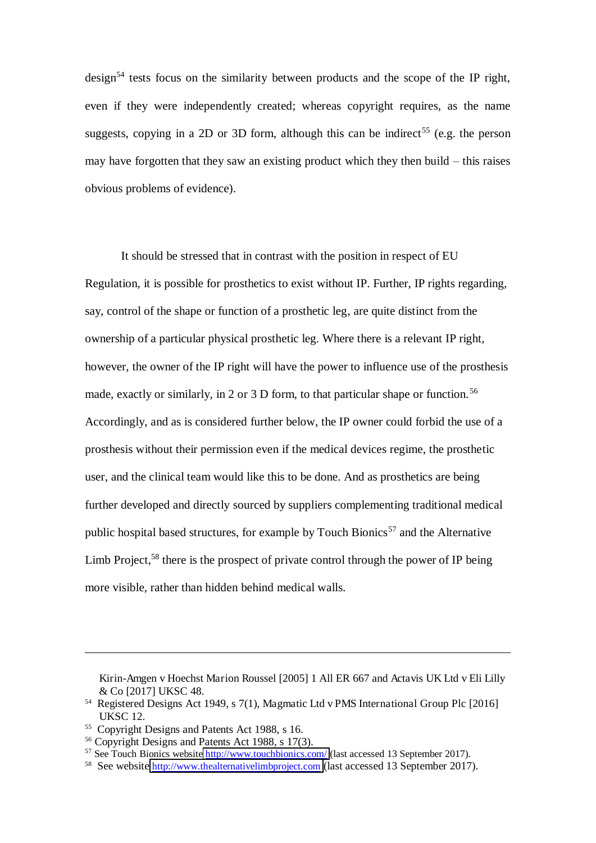$design<sup>54</sup>$  tests focus on the similarity between products and the scope of the IP right, even if they were independently created; whereas copyright requires, as the name suggests, copying in a 2D or 3D form, although this can be indirect<sup>55</sup> (e.g. the person may have forgotten that they saw an existing product which they then build – this raises obvious problems of evidence).

It should be stressed that in contrast with the position in respect of EU Regulation, it is possible for prosthetics to exist without IP. Further, IP rights regarding, say, control of the shape or function of a prosthetic leg, are quite distinct from the ownership of a particular physical prosthetic leg. Where there is a relevant IP right, however, the owner of the IP right will have the power to influence use of the prosthesis made, exactly or similarly, in 2 or 3 D form, to that particular shape or function.<sup>56</sup> Accordingly, and as is considered further below, the IP owner could forbid the use of a prosthesis without their permission even if the medical devices regime, the prosthetic user, and the clinical team would like this to be done. And as prosthetics are being further developed and directly sourced by suppliers complementing traditional medical public hospital based structures, for example by Touch Bionics<sup>57</sup> and the Alternative Limb Project,<sup>58</sup> there is the prospect of private control through the power of IP being more visible, rather than hidden behind medical walls.

Kirin-Amgen v Hoechst Marion Roussel [2005] 1 All ER 667 and Actavis UK Ltd v Eli Lilly & Co [2017] UKSC 48.

<sup>54</sup> Registered Designs Act 1949, s 7(1), Magmatic Ltd v PMS International Group Plc [2016] UKSC 12.

<sup>55</sup> Copyright Designs and Patents Act 1988, s 16.

<sup>56</sup> Copyright Designs and Patents Act 1988, s 17(3).

<sup>&</sup>lt;sup>57</sup> See Touch Bionics website<http://www.touchbionics.com/>(last accessed 13 September 2017).

<sup>&</sup>lt;sup>58</sup> See website **[http://www.thealternativelimbproject.com](http://www.thealternativelimbproject.com/)** (last accessed 13 September 2017).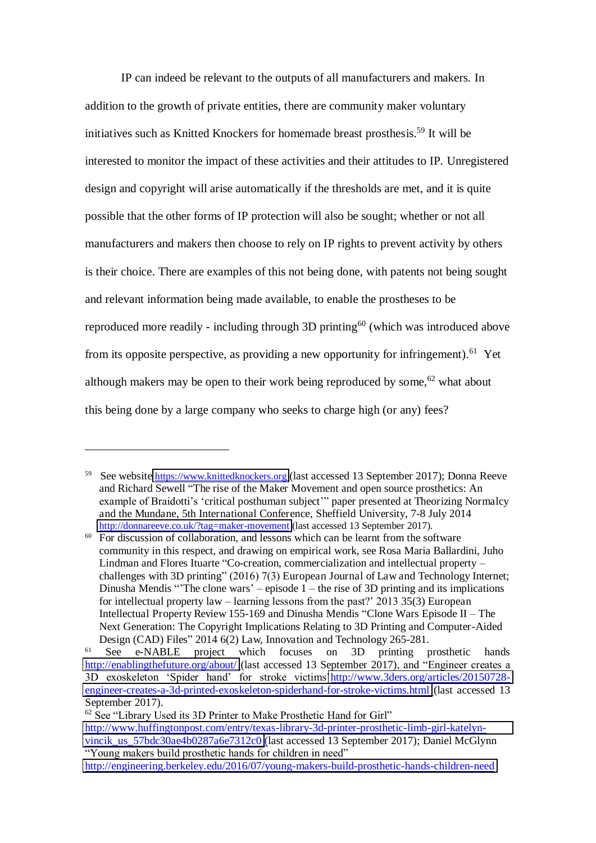IP can indeed be relevant to the outputs of all manufacturers and makers. In addition to the growth of private entities, there are community maker voluntary initiatives such as Knitted Knockers for homemade breast prosthesis. <sup>59</sup> It will be interested to monitor the impact of these activities and their attitudes to IP. Unregistered design and copyright will arise automatically if the thresholds are met, and it is quite possible that the other forms of IP protection will also be sought; whether or not all manufacturers and makers then choose to rely on IP rights to prevent activity by others is their choice. There are examples of this not being done, with patents not being sought and relevant information being made available, to enable the prostheses to be reproduced more readily - including through 3D printing<sup>60</sup> (which was introduced above from its opposite perspective, as providing a new opportunity for infringement).<sup>61</sup> Yet although makers may be open to their work being reproduced by some.<sup>62</sup> what about this being done by a large company who seeks to charge high (or any) fees?

<sup>&</sup>lt;sup>59</sup> See website **https://www.knittedknockers.org** (last accessed 13 September 2017); Donna Reeve and Richard Sewell "The rise of the Maker Movement and open source prosthetics: An example of Braidotti's 'critical posthuman subject'" paper presented at Theorizing Normalcy and the Mundane, 5th International Conference, Sheffield University, 7-8 July 2014 [http://donnareeve.co.uk/?tag=maker-movement \(](http://donnareeve.co.uk/?tag=maker-movement)last accessed 13 September 2017).

 $60$  For discussion of collaboration, and lessons which can be learnt from the software community in this respect, and drawing on empirical work, see Rosa Maria Ballardini, Juho Lindman and Flores Ituarte "Co-creation, commercialization and intellectual property – challenges with 3D printing" (2016) 7(3) European Journal of Law and Technology Internet; Dinusha Mendis "The clone wars' – episode  $1$  – the rise of 3D printing and its implications for intellectual property law – learning lessons from the past?' 2013 35(3) European Intellectual Property Review 155-169 and Dinusha Mendis "Clone Wars Episode II – The Next Generation: The Copyright Implications Relating to 3D Printing and Computer-Aided Design (CAD) Files" 2014 6(2) Law, Innovation and Technology 265-281.

<sup>&</sup>lt;sup>61</sup> See e-NABLE project which focuses on 3D printing prosthetic hands <http://enablingthefuture.org/about/>(last accessed 13 September 2017), and "Engineer creates a 3D exoskeleton 'Spider hand' for stroke victims'[http://www.3ders.org/articles/20150728](http://www.3ders.org/articles/20150728-engineer-creates-a-3d-printed-exoskeleton-spiderhand-for-stroke-victims.html) [engineer-creates-a-3d-printed-exoskeleton-spiderhand-for-stroke-victims.html](http://www.3ders.org/articles/20150728-engineer-creates-a-3d-printed-exoskeleton-spiderhand-for-stroke-victims.html) (last accessed 13 September 2017).

 $62$  See "Library Used its 3D Printer to Make Prosthetic Hand for Girl" [http://www.huffingtonpost.com/entry/texas-library-3d-printer-prosthetic-limb-girl-katelyn](http://www.huffingtonpost.com/entry/texas-library-3d-printer-prosthetic-limb-girl-katelyn-vincik_us_57bdc30ae4b0287a6e7312c0)vincik us 57bdc30ae4b0287a6e7312c0 (last accessed 13 September 2017); Daniel McGlynn "Young makers build prosthetic hands for children in need" <http://engineering.berkeley.edu/2016/07/young-makers-build-prosthetic-hands-children-need>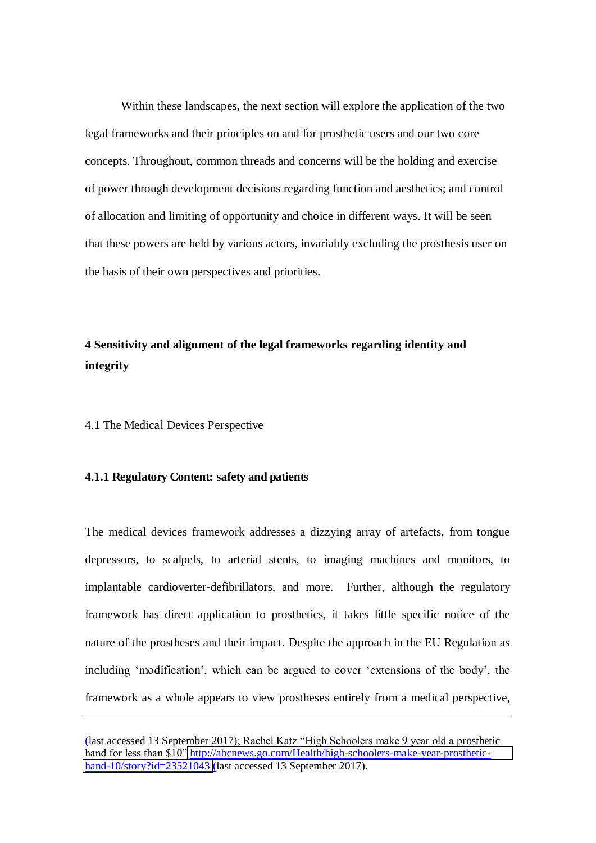Within these landscapes, the next section will explore the application of the two legal frameworks and their principles on and for prosthetic users and our two core concepts. Throughout, common threads and concerns will be the holding and exercise of power through development decisions regarding function and aesthetics; and control of allocation and limiting of opportunity and choice in different ways. It will be seen that these powers are held by various actors, invariably excluding the prosthesis user on the basis of their own perspectives and priorities.

# **4 Sensitivity and alignment of the legal frameworks regarding identity and integrity**

4.1 The Medical Devices Perspective

 $\overline{a}$ 

# **4.1.1 Regulatory Content: safety and patients**

The medical devices framework addresses a dizzying array of artefacts, from tongue depressors, to scalpels, to arterial stents, to imaging machines and monitors, to implantable cardioverter-defibrillators, and more. Further, although the regulatory framework has direct application to prosthetics, it takes little specific notice of the nature of the prostheses and their impact. Despite the approach in the EU Regulation as including 'modification', which can be argued to cover 'extensions of the body', the framework as a whole appears to view prostheses entirely from a medical perspective,

<sup>(</sup>last accessed 13 September 2017); Rachel Katz "High Schoolers make 9 year old a prosthetic hand for less than \$10" [http://abcnews.go.com/Health/high-schoolers-make-year-prosthetic](http://abcnews.go.com/Health/high-schoolers-make-year-prosthetic-hand-10/story?id=23521043)[hand-10/story?id=23521043](http://abcnews.go.com/Health/high-schoolers-make-year-prosthetic-hand-10/story?id=23521043) (last accessed 13 September 2017).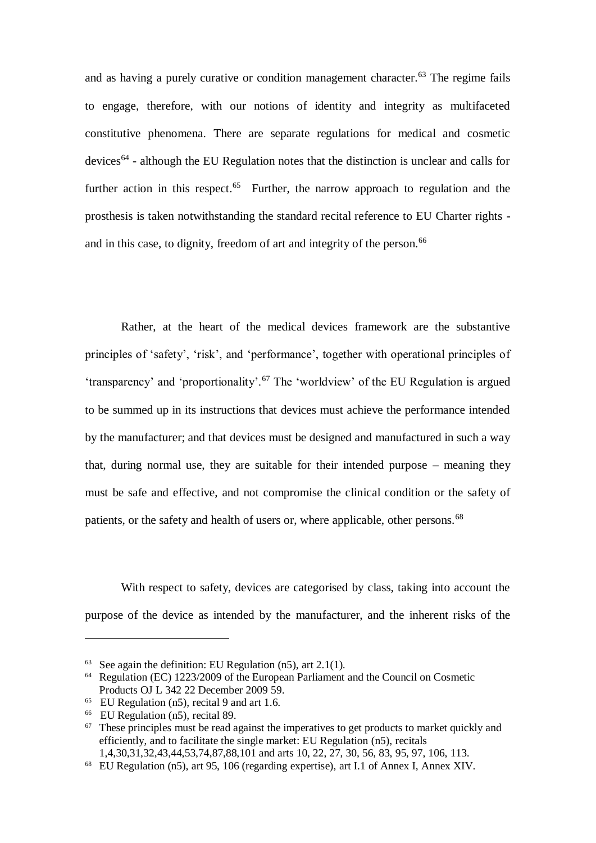and as having a purely curative or condition management character.<sup>63</sup> The regime fails to engage, therefore, with our notions of identity and integrity as multifaceted constitutive phenomena. There are separate regulations for medical and cosmetic  $devices<sup>64</sup>$  - although the EU Regulation notes that the distinction is unclear and calls for further action in this respect.<sup>65</sup> Further, the narrow approach to regulation and the prosthesis is taken notwithstanding the standard recital reference to EU Charter rights and in this case, to dignity, freedom of art and integrity of the person.<sup>66</sup>

Rather, at the heart of the medical devices framework are the substantive principles of 'safety', 'risk', and 'performance', together with operational principles of 'transparency' and 'proportionality'.<sup>67</sup> The 'worldview' of the EU Regulation is argued to be summed up in its instructions that devices must achieve the performance intended by the manufacturer; and that devices must be designed and manufactured in such a way that, during normal use, they are suitable for their intended purpose – meaning they must be safe and effective, and not compromise the clinical condition or the safety of patients, or the safety and health of users or, where applicable, other persons.<sup>68</sup>

With respect to safety, devices are categorised by class, taking into account the purpose of the device as intended by the manufacturer, and the inherent risks of the

<sup>&</sup>lt;sup>63</sup> See again the definition: EU Regulation  $(n5)$ , art 2.1(1).

<sup>64</sup> Regulation (EC) 1223/2009 of the European Parliament and the Council on Cosmetic Products OJ L 342 22 December 2009 59.

<sup>65</sup> EU Regulation (n5), recital 9 and art 1.6.

<sup>66</sup> EU Regulation (n5), recital 89.

 $67$  These principles must be read against the imperatives to get products to market quickly and efficiently, and to facilitate the single market: EU Regulation (n5), recitals

<sup>1,4,30,31,32,43,44,53,74,87,88,101</sup> and arts 10, 22, 27, 30, 56, 83, 95, 97, 106, 113.

<sup>68</sup> EU Regulation (n5), art 95, 106 (regarding expertise), art I.1 of Annex I, Annex XIV.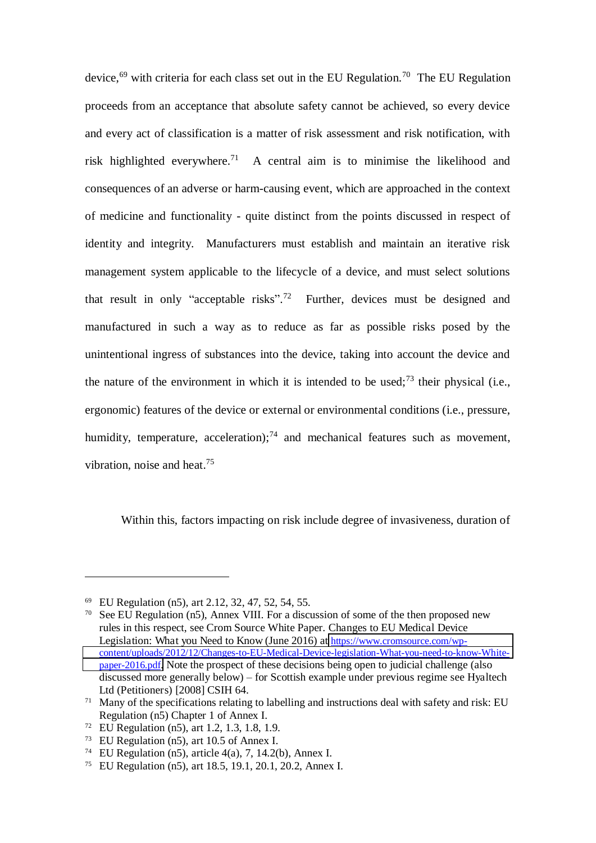device,<sup>69</sup> with criteria for each class set out in the EU Regulation.<sup>70</sup> The EU Regulation proceeds from an acceptance that absolute safety cannot be achieved, so every device and every act of classification is a matter of risk assessment and risk notification, with risk highlighted everywhere.<sup>71</sup> A central aim is to minimise the likelihood and consequences of an adverse or harm-causing event, which are approached in the context of medicine and functionality - quite distinct from the points discussed in respect of identity and integrity. Manufacturers must establish and maintain an iterative risk management system applicable to the lifecycle of a device, and must select solutions that result in only "acceptable risks".<sup>72</sup> Further, devices must be designed and manufactured in such a way as to reduce as far as possible risks posed by the unintentional ingress of substances into the device, taking into account the device and the nature of the environment in which it is intended to be used;<sup>73</sup> their physical (i.e., ergonomic) features of the device or external or environmental conditions (i.e., pressure, humidity, temperature, acceleration);<sup>74</sup> and mechanical features such as movement, vibration, noise and heat.<sup>75</sup>

Within this, factors impacting on risk include degree of invasiveness, duration of

<sup>69</sup> EU Regulation (n5), art 2.12, 32, 47, 52, 54, 55.

<sup>70</sup> See EU Regulation (n5), Annex VIII. For a discussion of some of the then proposed new rules in this respect, see Crom Source White Paper. Changes to EU Medical Device Legislation: What you Need to Know (June 2016) at [https://www.cromsource.com/wp](https://www.cromsource.com/wp-content/uploads/2012/12/Changes-to-EU-Medical-Device-legislation-What-you-need-to-know-White-paper-2016.pdf)[content/uploads/2012/12/Changes-to-EU-Medical-Device-legislation-What-you-need-to-know-White](https://www.cromsource.com/wp-content/uploads/2012/12/Changes-to-EU-Medical-Device-legislation-What-you-need-to-know-White-paper-2016.pdf)[paper-2016.pdf](https://www.cromsource.com/wp-content/uploads/2012/12/Changes-to-EU-Medical-Device-legislation-What-you-need-to-know-White-paper-2016.pdf). Note the prospect of these decisions being open to judicial challenge (also discussed more generally below) – for Scottish example under previous regime see Hyaltech Ltd (Petitioners) [2008] CSIH 64.

 $71$  Many of the specifications relating to labelling and instructions deal with safety and risk: EU Regulation (n5) Chapter 1 of Annex I.

<sup>72</sup> EU Regulation (n5), art 1.2, 1.3, 1.8, 1.9.

<sup>73</sup> EU Regulation (n5), art 10.5 of Annex I.

<sup>&</sup>lt;sup>74</sup> EU Regulation (n5), article 4(a), 7, 14.2(b), Annex I.

<sup>75</sup> EU Regulation (n5), art 18.5, 19.1, 20.1, 20.2, Annex I.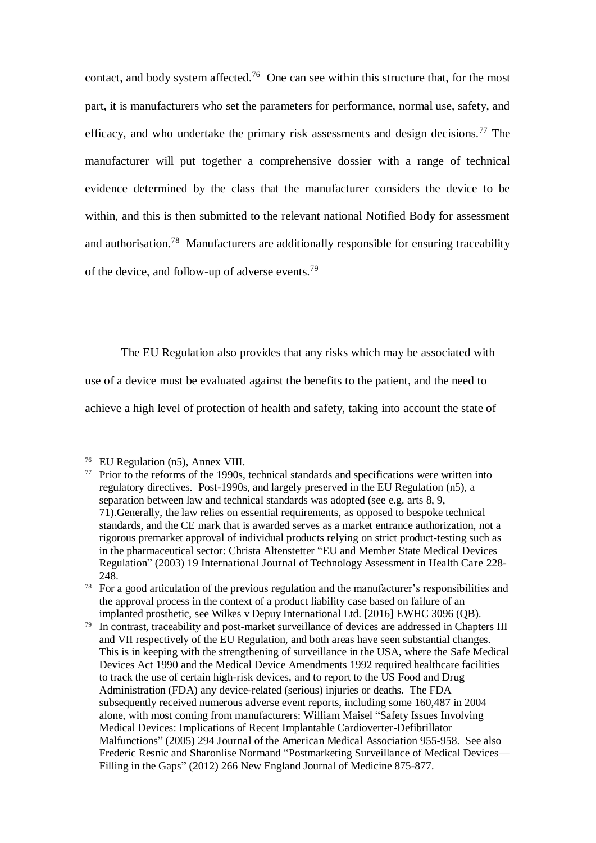contact, and body system affected.<sup>76</sup> One can see within this structure that, for the most part, it is manufacturers who set the parameters for performance, normal use, safety, and efficacy, and who undertake the primary risk assessments and design decisions.<sup>77</sup> The manufacturer will put together a comprehensive dossier with a range of technical evidence determined by the class that the manufacturer considers the device to be within, and this is then submitted to the relevant national Notified Body for assessment and authorisation.<sup>78</sup> Manufacturers are additionally responsible for ensuring traceability of the device, and follow-up of adverse events.<sup>79</sup>

The EU Regulation also provides that any risks which may be associated with use of a device must be evaluated against the benefits to the patient, and the need to achieve a high level of protection of health and safety, taking into account the state of

<sup>76</sup> EU Regulation (n5), Annex VIII.

 $77$  Prior to the reforms of the 1990s, technical standards and specifications were written into regulatory directives. Post-1990s, and largely preserved in the EU Regulation (n5), a separation between law and technical standards was adopted (see e.g. arts 8, 9, 71).Generally, the law relies on essential requirements, as opposed to bespoke technical standards, and the CE mark that is awarded serves as a market entrance authorization, not a rigorous premarket approval of individual products relying on strict product-testing such as in the pharmaceutical sector: Christa Altenstetter "EU and Member State Medical Devices Regulation" (2003) 19 International Journal of Technology Assessment in Health Care 228- 248.

<sup>&</sup>lt;sup>78</sup> For a good articulation of the previous regulation and the manufacturer's responsibilities and the approval process in the context of a product liability case based on failure of an implanted prosthetic, see Wilkes v Depuy International Ltd. [2016] EWHC 3096 (QB).

<sup>&</sup>lt;sup>79</sup> In contrast, traceability and post-market surveillance of devices are addressed in Chapters III and VII respectively of the EU Regulation, and both areas have seen substantial changes. This is in keeping with the strengthening of surveillance in the USA, where the Safe Medical Devices Act 1990 and the Medical Device Amendments 1992 required healthcare facilities to track the use of certain high-risk devices, and to report to the US Food and Drug Administration (FDA) any device-related (serious) injuries or deaths. The FDA subsequently received numerous adverse event reports, including some 160,487 in 2004 alone, with most coming from manufacturers: William Maisel "Safety Issues Involving Medical Devices: Implications of Recent Implantable Cardioverter-Defibrillator Malfunctions" (2005) 294 Journal of the American Medical Association 955-958. See also Frederic Resnic and Sharonlise Normand "Postmarketing Surveillance of Medical Devices— Filling in the Gaps" (2012) 266 New England Journal of Medicine 875-877.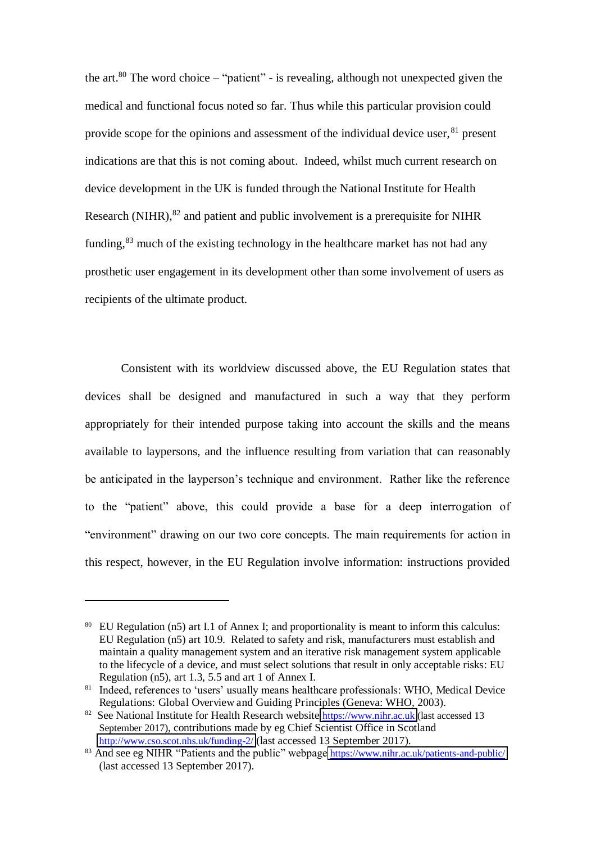the art. $80$  The word choice – "patient" - is revealing, although not unexpected given the medical and functional focus noted so far. Thus while this particular provision could provide scope for the opinions and assessment of the individual device user, <sup>81</sup> present indications are that this is not coming about. Indeed, whilst much current research on device development in the UK is funded through the National Institute for Health Research (NIHR),  $82$  and patient and public involvement is a prerequisite for NIHR funding,  $83$  much of the existing technology in the healthcare market has not had any prosthetic user engagement in its development other than some involvement of users as recipients of the ultimate product.

Consistent with its worldview discussed above, the EU Regulation states that devices shall be designed and manufactured in such a way that they perform appropriately for their intended purpose taking into account the skills and the means available to laypersons, and the influence resulting from variation that can reasonably be anticipated in the layperson's technique and environment. Rather like the reference to the "patient" above, this could provide a base for a deep interrogation of "environment" drawing on our two core concepts. The main requirements for action in this respect, however, in the EU Regulation involve information: instructions provided

<sup>80</sup> EU Regulation (n5) art I.1 of Annex I; and proportionality is meant to inform this calculus: EU Regulation (n5) art 10.9. Related to safety and risk, manufacturers must establish and maintain a quality management system and an iterative risk management system applicable to the lifecycle of a device, and must select solutions that result in only acceptable risks: EU Regulation (n5), art 1.3, 5.5 and art 1 of Annex I.

<sup>&</sup>lt;sup>81</sup> Indeed, references to 'users' usually means healthcare professionals: WHO, Medical Device Regulations: Global Overview and Guiding Principles (Geneva: WHO, 2003).

<sup>&</sup>lt;sup>82</sup> See National Institute for Health Research website **https://www.nihr.ac.uk** (last accessed 13 September 2017), contributions made by eg Chief Scientist Office in Scotland <http://www.cso.scot.nhs.uk/funding-2/> (last accessed 13 September 2017).

<sup>83</sup> And see eg NIHR "Patients and the public" webpage <https://www.nihr.ac.uk/patients-and-public/> (last accessed 13 September 2017).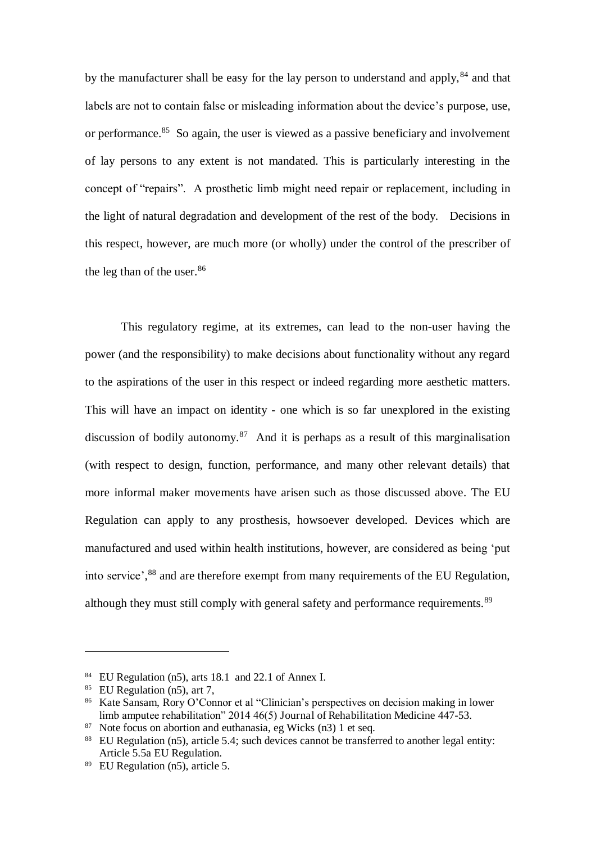by the manufacturer shall be easy for the lay person to understand and apply, <sup>84</sup> and that labels are not to contain false or misleading information about the device's purpose, use, or performance.<sup>85</sup> So again, the user is viewed as a passive beneficiary and involvement of lay persons to any extent is not mandated. This is particularly interesting in the concept of "repairs". A prosthetic limb might need repair or replacement, including in the light of natural degradation and development of the rest of the body. Decisions in this respect, however, are much more (or wholly) under the control of the prescriber of the leg than of the user.<sup>86</sup>

This regulatory regime, at its extremes, can lead to the non-user having the power (and the responsibility) to make decisions about functionality without any regard to the aspirations of the user in this respect or indeed regarding more aesthetic matters. This will have an impact on identity - one which is so far unexplored in the existing discussion of bodily autonomy.<sup>87</sup> And it is perhaps as a result of this marginalisation (with respect to design, function, performance, and many other relevant details) that more informal maker movements have arisen such as those discussed above. The EU Regulation can apply to any prosthesis, howsoever developed. Devices which are manufactured and used within health institutions, however, are considered as being 'put into service', <sup>88</sup> and are therefore exempt from many requirements of the EU Regulation, although they must still comply with general safety and performance requirements.<sup>89</sup>

 $84$  EU Regulation (n5), arts 18.1 and 22.1 of Annex I.

<sup>85</sup> EU Regulation (n5), art 7,

<sup>86</sup> Kate Sansam, Rory O'Connor et al "Clinician's perspectives on decision making in lower limb amputee rehabilitation" 2014 46(5) Journal of Rehabilitation Medicine 447-53.

<sup>87</sup> Note focus on abortion and euthanasia, eg Wicks (n3) 1 et seq.

<sup>88</sup> EU Regulation (n5), article 5.4; such devices cannot be transferred to another legal entity: Article 5.5a EU Regulation.

 $89$  EU Regulation (n5), article 5.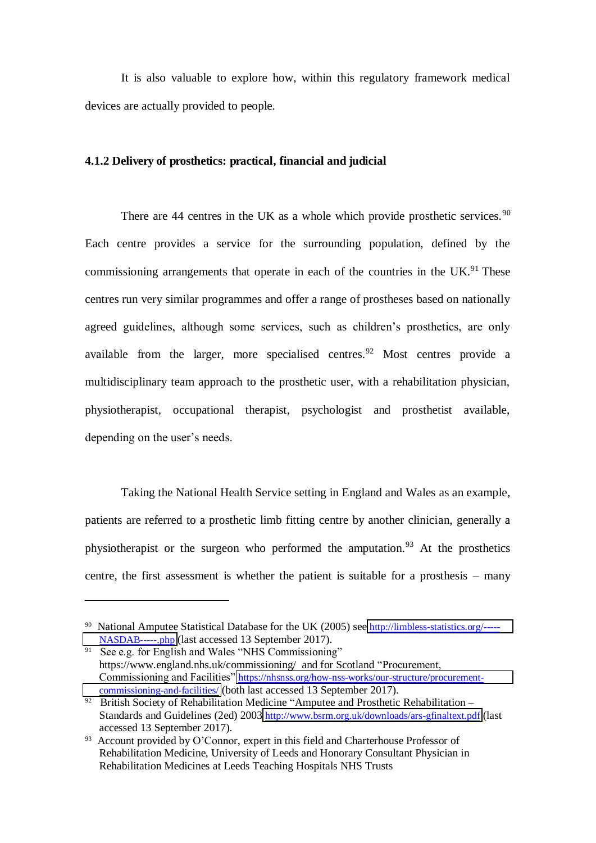It is also valuable to explore how, within this regulatory framework medical devices are actually provided to people.

# **4.1.2 Delivery of prosthetics: practical, financial and judicial**

There are  $44$  centres in the UK as a whole which provide prosthetic services.<sup>90</sup> Each centre provides a service for the surrounding population, defined by the commissioning arrangements that operate in each of the countries in the UK.<sup>91</sup> These centres run very similar programmes and offer a range of prostheses based on nationally agreed guidelines, although some services, such as children's prosthetics, are only available from the larger, more specialised centres.<sup>92</sup> Most centres provide a multidisciplinary team approach to the prosthetic user, with a rehabilitation physician, physiotherapist, occupational therapist, psychologist and prosthetist available, depending on the user's needs.

Taking the National Health Service setting in England and Wales as an example, patients are referred to a prosthetic limb fitting centre by another clinician, generally a physiotherapist or the surgeon who performed the amputation.<sup>93</sup> At the prosthetics centre, the first assessment is whether the patient is suitable for a prosthesis – many

<sup>&</sup>lt;sup>90</sup> National Amputee Statistical Database for the UK (2005) see [http://limbless-statistics.org/-----](http://limbless-statistics.org/-----NASDAB-----.php) [NASDAB-----.php](http://limbless-statistics.org/-----NASDAB-----.php) (last accessed 13 September 2017).

<sup>91</sup> See e.g. for English and Wales "NHS Commissioning" https://www.england.nhs.uk/commissioning/ and for Scotland "Procurement, Commissioning and Facilities" [https://nhsnss.org/how-nss-works/our-structure/procurement](https://nhsnss.org/how-nss-works/our-structure/procurement-commissioning-and-facilities/)[commissioning-and-facilities/](https://nhsnss.org/how-nss-works/our-structure/procurement-commissioning-and-facilities/) (both last accessed 13 September 2017).

<sup>&</sup>lt;sup>92</sup> British Society of Rehabilitation Medicine "Amputee and Prosthetic Rehabilitation – Standards and Guidelines (2ed) 2003 <http://www.bsrm.org.uk/downloads/ars-gfinaltext.pdf> (last accessed 13 September 2017).

<sup>&</sup>lt;sup>93</sup> Account provided by O'Connor, expert in this field and Charterhouse Professor of Rehabilitation Medicine, University of Leeds and Honorary Consultant Physician in Rehabilitation Medicines at Leeds Teaching Hospitals NHS Trusts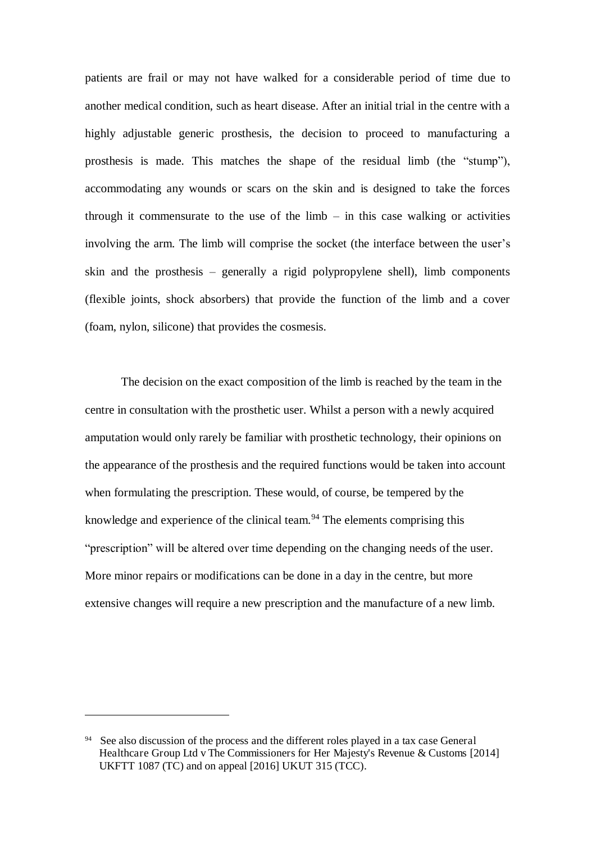patients are frail or may not have walked for a considerable period of time due to another medical condition, such as heart disease. After an initial trial in the centre with a highly adjustable generic prosthesis, the decision to proceed to manufacturing a prosthesis is made. This matches the shape of the residual limb (the "stump"), accommodating any wounds or scars on the skin and is designed to take the forces through it commensurate to the use of the  $limb - in$  this case walking or activities involving the arm. The limb will comprise the socket (the interface between the user's skin and the prosthesis – generally a rigid polypropylene shell), limb components (flexible joints, shock absorbers) that provide the function of the limb and a cover (foam, nylon, silicone) that provides the cosmesis.

The decision on the exact composition of the limb is reached by the team in the centre in consultation with the prosthetic user. Whilst a person with a newly acquired amputation would only rarely be familiar with prosthetic technology, their opinions on the appearance of the prosthesis and the required functions would be taken into account when formulating the prescription. These would, of course, be tempered by the knowledge and experience of the clinical team. $94$  The elements comprising this "prescription" will be altered over time depending on the changing needs of the user. More minor repairs or modifications can be done in a day in the centre, but more extensive changes will require a new prescription and the manufacture of a new limb.

<sup>&</sup>lt;sup>94</sup> See also discussion of the process and the different roles played in a tax case General Healthcare Group Ltd v The Commissioners for Her Majesty's Revenue & Customs [2014] UKFTT  $1087$  (TC) and on appeal  $[2016]$  UKUT 315 (TCC).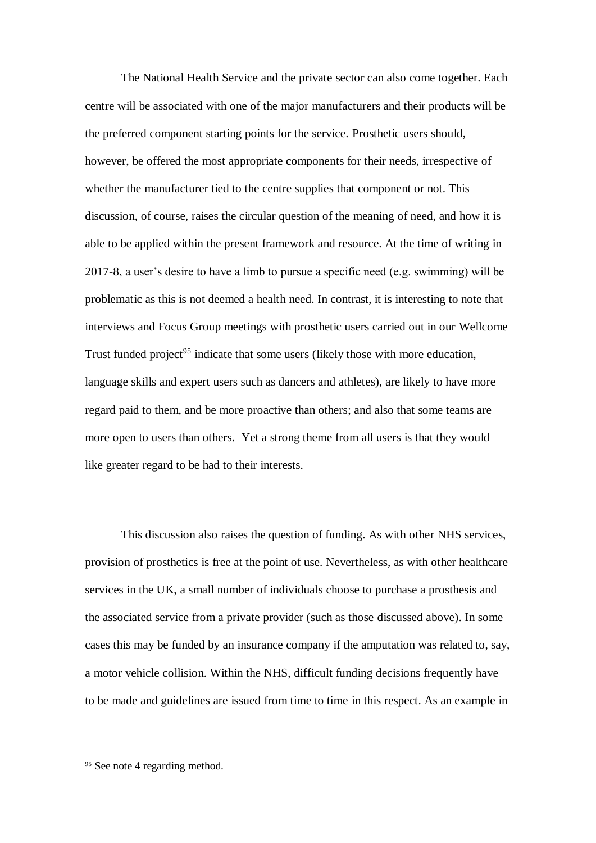The National Health Service and the private sector can also come together. Each centre will be associated with one of the major manufacturers and their products will be the preferred component starting points for the service. Prosthetic users should, however, be offered the most appropriate components for their needs, irrespective of whether the manufacturer tied to the centre supplies that component or not. This discussion, of course, raises the circular question of the meaning of need, and how it is able to be applied within the present framework and resource. At the time of writing in 2017-8, a user's desire to have a limb to pursue a specific need (e.g. swimming) will be problematic as this is not deemed a health need. In contrast, it is interesting to note that interviews and Focus Group meetings with prosthetic users carried out in our Wellcome Trust funded project<sup>95</sup> indicate that some users (likely those with more education, language skills and expert users such as dancers and athletes), are likely to have more regard paid to them, and be more proactive than others; and also that some teams are more open to users than others. Yet a strong theme from all users is that they would like greater regard to be had to their interests.

This discussion also raises the question of funding. As with other NHS services, provision of prosthetics is free at the point of use. Nevertheless, as with other healthcare services in the UK, a small number of individuals choose to purchase a prosthesis and the associated service from a private provider (such as those discussed above). In some cases this may be funded by an insurance company if the amputation was related to, say, a motor vehicle collision. Within the NHS, difficult funding decisions frequently have to be made and guidelines are issued from time to time in this respect. As an example in

<sup>&</sup>lt;sup>95</sup> See note 4 regarding method.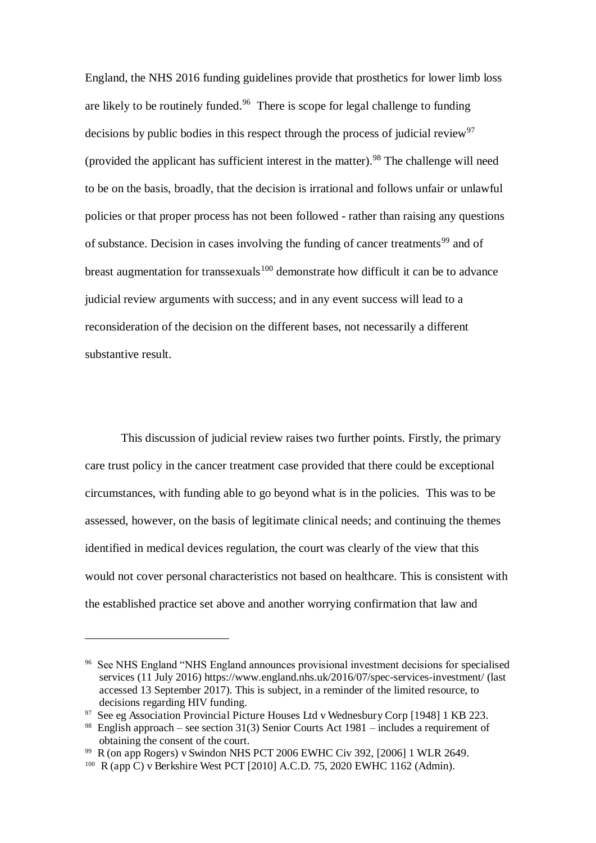England, the NHS 2016 funding guidelines provide that prosthetics for lower limb loss are likely to be routinely funded.<sup>96</sup> There is scope for legal challenge to funding decisions by public bodies in this respect through the process of judicial review<sup>97</sup> (provided the applicant has sufficient interest in the matter). <sup>98</sup> The challenge will need to be on the basis, broadly, that the decision is irrational and follows unfair or unlawful policies or that proper process has not been followed - rather than raising any questions of substance. Decision in cases involving the funding of cancer treatments<sup>99</sup> and of breast augmentation for transsexuals<sup>100</sup> demonstrate how difficult it can be to advance judicial review arguments with success; and in any event success will lead to a reconsideration of the decision on the different bases, not necessarily a different substantive result.

This discussion of judicial review raises two further points. Firstly, the primary care trust policy in the cancer treatment case provided that there could be exceptional circumstances, with funding able to go beyond what is in the policies. This was to be assessed, however, on the basis of legitimate clinical needs; and continuing the themes identified in medical devices regulation, the court was clearly of the view that this would not cover personal characteristics not based on healthcare. This is consistent with the established practice set above and another worrying confirmation that law and

<sup>96</sup> See NHS England "NHS England announces provisional investment decisions for specialised services (11 July 2016) https://www.england.nhs.uk/2016/07/spec-services-investment/ (last accessed 13 September 2017). This is subject, in a reminder of the limited resource, to decisions regarding HIV funding.

<sup>97</sup> See eg Association Provincial Picture Houses Ltd v Wednesbury Corp [1948] 1 KB 223.

<sup>&</sup>lt;sup>98</sup> English approach – see section 31(3) Senior Courts Act 1981 – includes a requirement of obtaining the consent of the court.

<sup>99</sup> R (on app Rogers) v Swindon NHS PCT 2006 EWHC Civ 392, [2006] 1 WLR 2649.

 $100 \text{ R (app C)}$  v Berkshire West PCT [2010] A.C.D. 75, 2020 EWHC 1162 (Admin).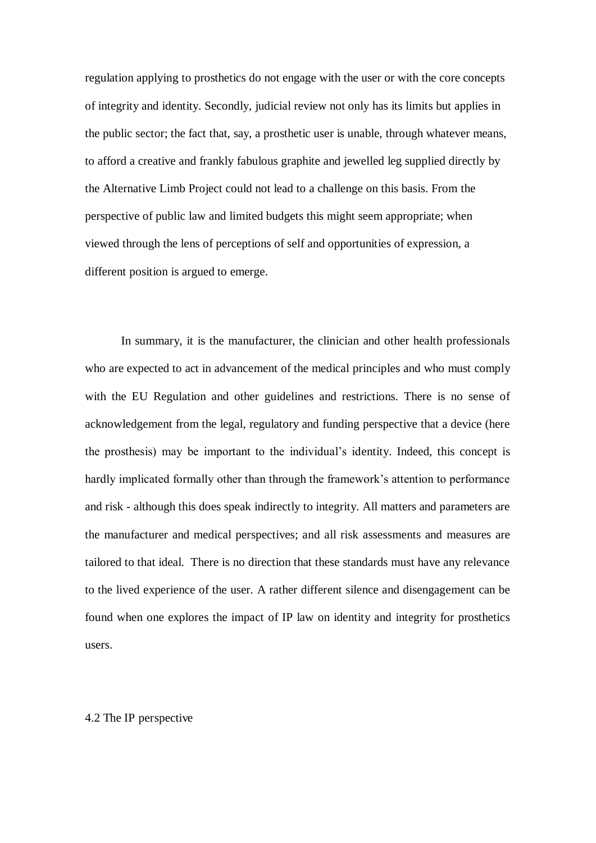regulation applying to prosthetics do not engage with the user or with the core concepts of integrity and identity. Secondly, judicial review not only has its limits but applies in the public sector; the fact that, say, a prosthetic user is unable, through whatever means, to afford a creative and frankly fabulous graphite and jewelled leg supplied directly by the Alternative Limb Project could not lead to a challenge on this basis. From the perspective of public law and limited budgets this might seem appropriate; when viewed through the lens of perceptions of self and opportunities of expression, a different position is argued to emerge.

In summary, it is the manufacturer, the clinician and other health professionals who are expected to act in advancement of the medical principles and who must comply with the EU Regulation and other guidelines and restrictions. There is no sense of acknowledgement from the legal, regulatory and funding perspective that a device (here the prosthesis) may be important to the individual's identity. Indeed, this concept is hardly implicated formally other than through the framework's attention to performance and risk - although this does speak indirectly to integrity. All matters and parameters are the manufacturer and medical perspectives; and all risk assessments and measures are tailored to that ideal. There is no direction that these standards must have any relevance to the lived experience of the user. A rather different silence and disengagement can be found when one explores the impact of IP law on identity and integrity for prosthetics users.

#### 4.2 The IP perspective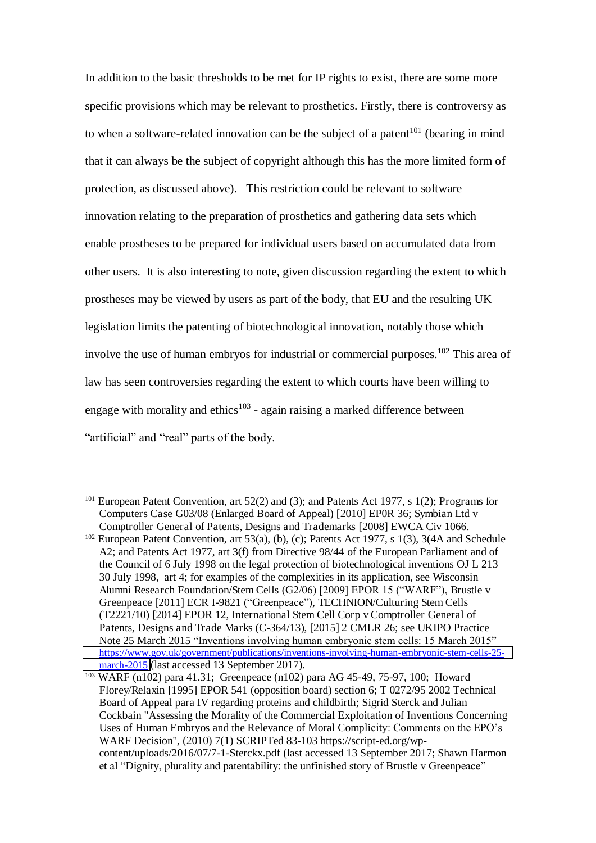In addition to the basic thresholds to be met for IP rights to exist, there are some more specific provisions which may be relevant to prosthetics. Firstly, there is controversy as to when a software-related innovation can be the subject of a patent<sup>101</sup> (bearing in mind that it can always be the subject of copyright although this has the more limited form of protection, as discussed above). This restriction could be relevant to software innovation relating to the preparation of prosthetics and gathering data sets which enable prostheses to be prepared for individual users based on accumulated data from other users. It is also interesting to note, given discussion regarding the extent to which prostheses may be viewed by users as part of the body, that EU and the resulting UK legislation limits the patenting of biotechnological innovation, notably those which involve the use of human embryos for industrial or commercial purposes.<sup>102</sup> This area of law has seen controversies regarding the extent to which courts have been willing to engage with morality and ethics<sup>103</sup> - again raising a marked difference between "artificial" and "real" parts of the body.

<sup>101</sup> European Patent Convention, art 52(2) and (3); and Patents Act 1977, s 1(2); Programs for Computers Case G03/08 (Enlarged Board of Appeal) [2010] EP0R 36; Symbian Ltd v Comptroller General of Patents, Designs and Trademarks [2008] EWCA Civ 1066.

<sup>&</sup>lt;sup>102</sup> European Patent Convention, art 53(a), (b), (c); Patents Act 1977, s 1(3), 3(4A and Schedule A2; and Patents Act 1977, art 3(f) from Directive 98/44 of the European Parliament and of the Council of 6 July 1998 on the legal protection of biotechnological inventions OJ L 213 30 July 1998, art 4; for examples of the complexities in its application, see Wisconsin Alumni Research Foundation/Stem Cells (G2/06) [2009] EPOR 15 ("WARF"), Brustle v Greenpeace [2011] ECR I-9821 ("Greenpeace"), TECHNION/Culturing Stem Cells (T2221/10) [2014] EPOR 12, International Stem Cell Corp v Comptroller General of Patents, Designs and Trade Marks (C-364/13), [2015] 2 CMLR 26; see UKIPO Practice Note 25 March 2015 "Inventions involving human embryonic stem cells: 15 March 2015" [https://www.gov.uk/government/publications/inventions-involving-human-embryonic-stem-cells-25](https://www.gov.uk/government/publications/inventions-involving-human-embryonic-stem-cells-25-march-2015) [march-2015](https://www.gov.uk/government/publications/inventions-involving-human-embryonic-stem-cells-25-march-2015) (last accessed 13 September 2017).

<sup>103</sup> WARF (n102) para 41.31; Greenpeace (n102) para AG 45-49, 75-97, 100; Howard Florey/Relaxin [1995] EPOR 541 (opposition board) section 6; T 0272/95 2002 Technical Board of Appeal para IV regarding proteins and childbirth; Sigrid Sterck and Julian Cockbain "Assessing the Morality of the Commercial Exploitation of Inventions Concerning Uses of Human Embryos and the Relevance of Moral Complicity: Comments on the EPO's WARF Decision", (2010) 7(1) SCRIPTed 83-103 https://script-ed.org/wpcontent/uploads/2016/07/7-1-Sterckx.pdf (last accessed 13 September 2017; Shawn Harmon et al "Dignity, plurality and patentability: the unfinished story of Brustle v Greenpeace"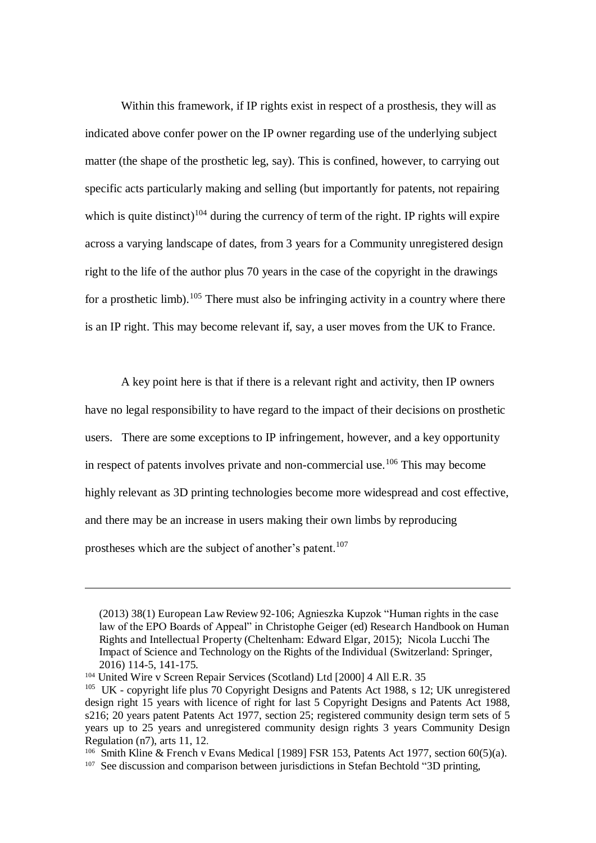Within this framework, if IP rights exist in respect of a prosthesis, they will as indicated above confer power on the IP owner regarding use of the underlying subject matter (the shape of the prosthetic leg, say). This is confined, however, to carrying out specific acts particularly making and selling (but importantly for patents, not repairing which is quite distinct)<sup>104</sup> during the currency of term of the right. IP rights will expire across a varying landscape of dates, from 3 years for a Community unregistered design right to the life of the author plus 70 years in the case of the copyright in the drawings for a prosthetic limb).<sup>105</sup> There must also be infringing activity in a country where there is an IP right. This may become relevant if, say, a user moves from the UK to France.

A key point here is that if there is a relevant right and activity, then IP owners have no legal responsibility to have regard to the impact of their decisions on prosthetic users. There are some exceptions to IP infringement, however, and a key opportunity in respect of patents involves private and non-commercial use.<sup>106</sup> This may become highly relevant as 3D printing technologies become more widespread and cost effective, and there may be an increase in users making their own limbs by reproducing prostheses which are the subject of another's patent.<sup>107</sup>

<sup>(2013) 38(1)</sup> European Law Review 92-106; Agnieszka Kupzok "Human rights in the case law of the EPO Boards of Appeal" in Christophe Geiger (ed) Research Handbook on Human Rights and Intellectual Property (Cheltenham: Edward Elgar, 2015); Nicola Lucchi The Impact of Science and Technology on the Rights of the Individual (Switzerland: Springer, 2016) 114-5, 141-175.

<sup>104</sup> United Wire v Screen Repair Services (Scotland) Ltd [2000] 4 All E.R. 35

<sup>&</sup>lt;sup>105</sup> UK - copyright life plus 70 Copyright Designs and Patents Act 1988, s 12; UK unregistered design right 15 years with licence of right for last 5 Copyright Designs and Patents Act 1988, s216; 20 years patent Patents Act 1977, section 25; registered community design term sets of 5 years up to 25 years and unregistered community design rights 3 years Community Design Regulation (n7), arts 11, 12.

<sup>&</sup>lt;sup>106</sup> Smith Kline & French v Evans Medical [1989] FSR 153, Patents Act 1977, section 60(5)(a).

<sup>&</sup>lt;sup>107</sup> See discussion and comparison between jurisdictions in Stefan Bechtold "3D printing,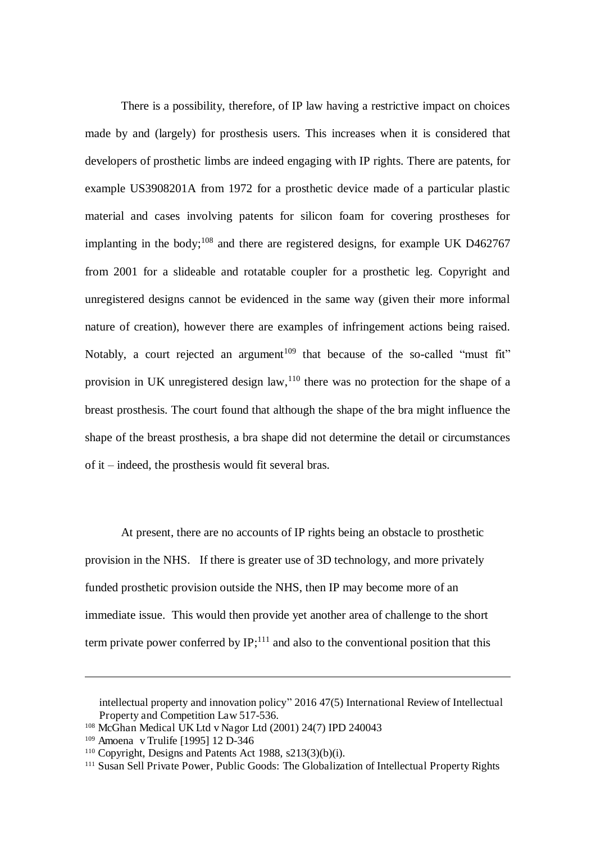There is a possibility, therefore, of IP law having a restrictive impact on choices made by and (largely) for prosthesis users. This increases when it is considered that developers of prosthetic limbs are indeed engaging with IP rights. There are patents, for example US3908201A from 1972 for a prosthetic device made of a particular plastic material and cases involving patents for silicon foam for covering prostheses for implanting in the body;<sup>108</sup> and there are registered designs, for example UK D462767 from 2001 for a slideable and rotatable coupler for a prosthetic leg. Copyright and unregistered designs cannot be evidenced in the same way (given their more informal nature of creation), however there are examples of infringement actions being raised. Notably, a court rejected an argument<sup>109</sup> that because of the so-called "must fit" provision in UK unregistered design law,  $110$  there was no protection for the shape of a breast prosthesis. The court found that although the shape of the bra might influence the shape of the breast prosthesis, a bra shape did not determine the detail or circumstances of it – indeed, the prosthesis would fit several bras.

At present, there are no accounts of IP rights being an obstacle to prosthetic provision in the NHS. If there is greater use of 3D technology, and more privately funded prosthetic provision outside the NHS, then IP may become more of an immediate issue. This would then provide yet another area of challenge to the short term private power conferred by  $IP$ ;<sup>111</sup> and also to the conventional position that this

intellectual property and innovation policy" 2016 47(5) International Review of Intellectual Property and Competition Law 517-536.

<sup>108</sup> McGhan Medical UK Ltd v Nagor Ltd (2001) 24(7) IPD 240043

<sup>109</sup> Amoena v Trulife [1995] 12 D-346

 $110$  Copyright, Designs and Patents Act 1988, s213(3)(b)(i).

<sup>&</sup>lt;sup>111</sup> Susan Sell Private Power, Public Goods: The Globalization of Intellectual Property Rights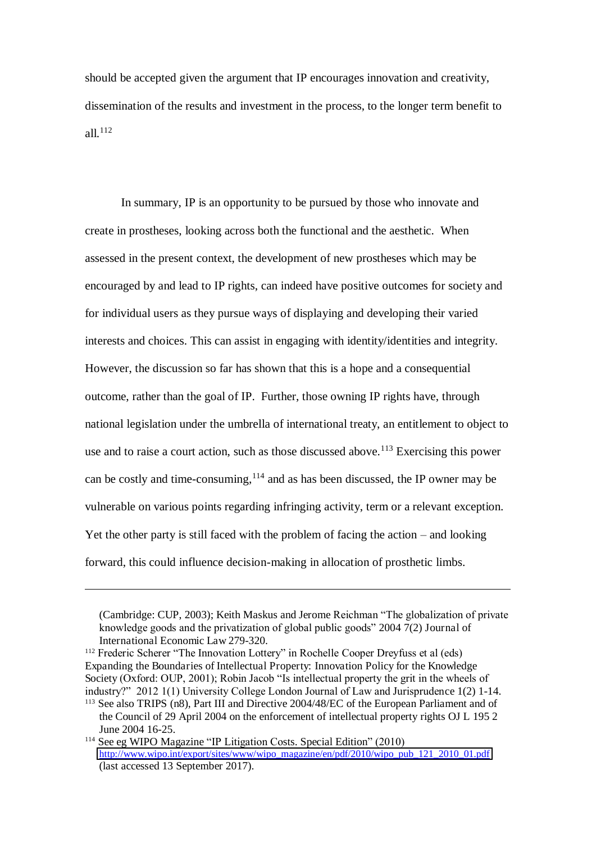should be accepted given the argument that IP encourages innovation and creativity, dissemination of the results and investment in the process, to the longer term benefit to all. $112$ 

In summary, IP is an opportunity to be pursued by those who innovate and create in prostheses, looking across both the functional and the aesthetic. When assessed in the present context, the development of new prostheses which may be encouraged by and lead to IP rights, can indeed have positive outcomes for society and for individual users as they pursue ways of displaying and developing their varied interests and choices. This can assist in engaging with identity/identities and integrity. However, the discussion so far has shown that this is a hope and a consequential outcome, rather than the goal of IP. Further, those owning IP rights have, through national legislation under the umbrella of international treaty, an entitlement to object to use and to raise a court action, such as those discussed above.<sup>113</sup> Exercising this power can be costly and time-consuming, $114$  and as has been discussed, the IP owner may be vulnerable on various points regarding infringing activity, term or a relevant exception. Yet the other party is still faced with the problem of facing the action – and looking forward, this could influence decision-making in allocation of prosthetic limbs.

<sup>(</sup>Cambridge: CUP, 2003); Keith Maskus and Jerome Reichman "The globalization of private knowledge goods and the privatization of global public goods" 2004 7(2) Journal of International Economic Law 279-320.

<sup>&</sup>lt;sup>112</sup> Frederic Scherer "The Innovation Lottery" in Rochelle Cooper Dreyfuss et al (eds) Expanding the Boundaries of Intellectual Property: Innovation Policy for the Knowledge Society (Oxford: OUP, 2001); Robin Jacob "Is intellectual property the grit in the wheels of industry?" 2012 1(1) University College London Journal of Law and Jurisprudence 1(2) 1-14.

<sup>113</sup> See also TRIPS (n8), Part III and Directive 2004/48/EC of the European Parliament and of the Council of 29 April 2004 on the enforcement of intellectual property rights OJ L 195 2 June 2004 16-25.

<sup>114</sup> See eg WIPO Magazine "IP Litigation Costs. Special Edition" (2010) [http://www.wipo.int/export/sites/www/wipo\\_magazine/en/pdf/2010/wipo\\_pub\\_121\\_2010\\_01.pdf](http://www.wipo.int/export/sites/www/wipo_magazine/en/pdf/2010/wipo_pub_121_2010_01.pdf) (last accessed 13 September 2017).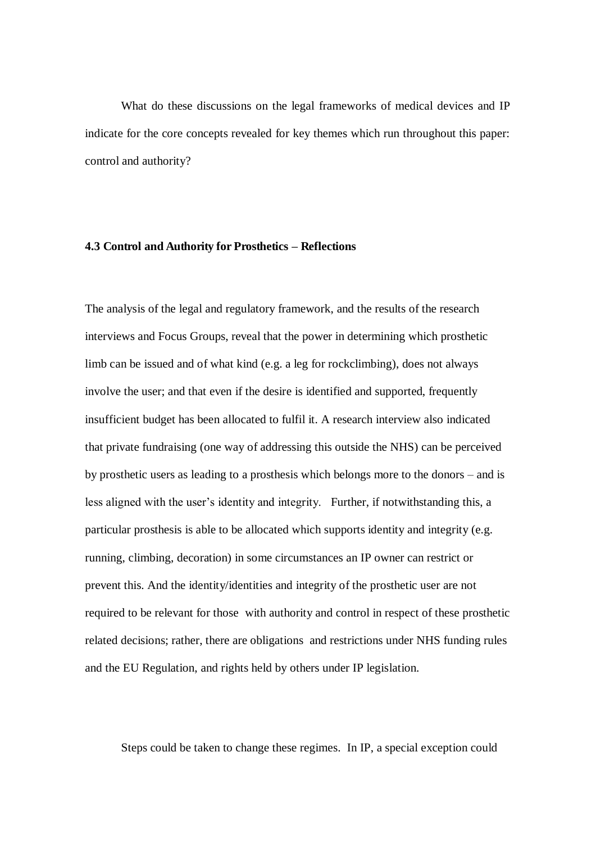What do these discussions on the legal frameworks of medical devices and IP indicate for the core concepts revealed for key themes which run throughout this paper: control and authority?

## **4.3 Control and Authority for Prosthetics** *–* **Reflections**

The analysis of the legal and regulatory framework, and the results of the research interviews and Focus Groups, reveal that the power in determining which prosthetic limb can be issued and of what kind (e.g. a leg for rockclimbing), does not always involve the user; and that even if the desire is identified and supported, frequently insufficient budget has been allocated to fulfil it. A research interview also indicated that private fundraising (one way of addressing this outside the NHS) can be perceived by prosthetic users as leading to a prosthesis which belongs more to the donors – and is less aligned with the user's identity and integrity. Further, if notwithstanding this, a particular prosthesis is able to be allocated which supports identity and integrity (e.g. running, climbing, decoration) in some circumstances an IP owner can restrict or prevent this. And the identity/identities and integrity of the prosthetic user are not required to be relevant for those with authority and control in respect of these prosthetic related decisions; rather, there are obligations and restrictions under NHS funding rules and the EU Regulation, and rights held by others under IP legislation.

Steps could be taken to change these regimes. In IP, a special exception could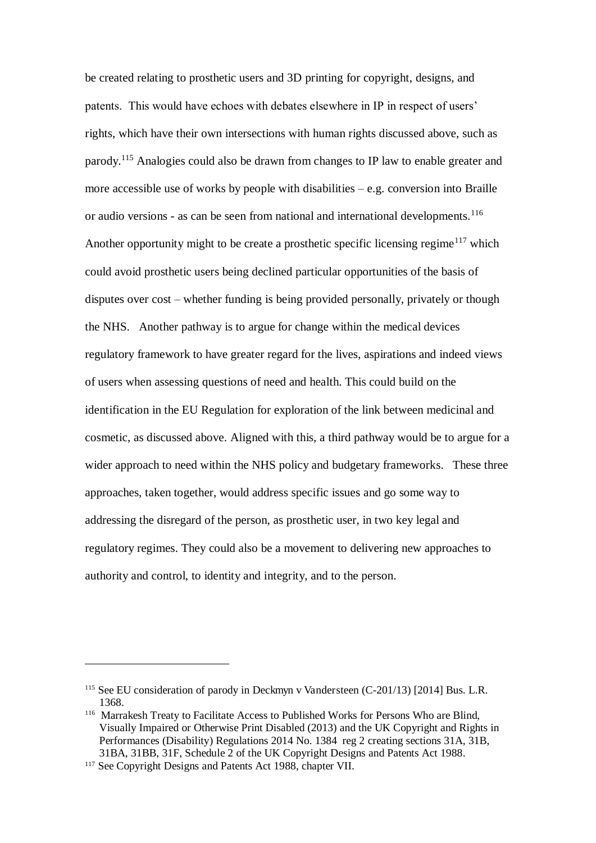be created relating to prosthetic users and 3D printing for copyright, designs, and patents. This would have echoes with debates elsewhere in IP in respect of users' rights, which have their own intersections with human rights discussed above, such as parody.<sup>115</sup> Analogies could also be drawn from changes to IP law to enable greater and more accessible use of works by people with disabilities  $-e.g.$  conversion into Braille or audio versions - as can be seen from national and international developments.<sup>116</sup> Another opportunity might to be create a prosthetic specific licensing regime<sup>117</sup> which could avoid prosthetic users being declined particular opportunities of the basis of disputes over cost – whether funding is being provided personally, privately or though the NHS. Another pathway is to argue for change within the medical devices regulatory framework to have greater regard for the lives, aspirations and indeed views of users when assessing questions of need and health. This could build on the identification in the EU Regulation for exploration of the link between medicinal and cosmetic, as discussed above. Aligned with this, a third pathway would be to argue for a wider approach to need within the NHS policy and budgetary frameworks. These three approaches, taken together, would address specific issues and go some way to addressing the disregard of the person, as prosthetic user, in two key legal and regulatory regimes. They could also be a movement to delivering new approaches to authority and control, to identity and integrity, and to the person.

<sup>&</sup>lt;sup>115</sup> See EU consideration of parody in Deckmyn v Vandersteen (C-201/13) [2014] Bus. L.R. 1368.

<sup>116</sup> Marrakesh Treaty to Facilitate Access to Published Works for Persons Who are Blind, Visually Impaired or Otherwise Print Disabled (2013) and the UK Copyright and Rights in Performances (Disability) Regulations 2014 No. 1384 reg 2 creating sections 31A, 31B, 31BA, 31BB, 31F, Schedule 2 of the UK Copyright Designs and Patents Act 1988.

<sup>&</sup>lt;sup>117</sup> See Copyright Designs and Patents Act 1988, chapter VII.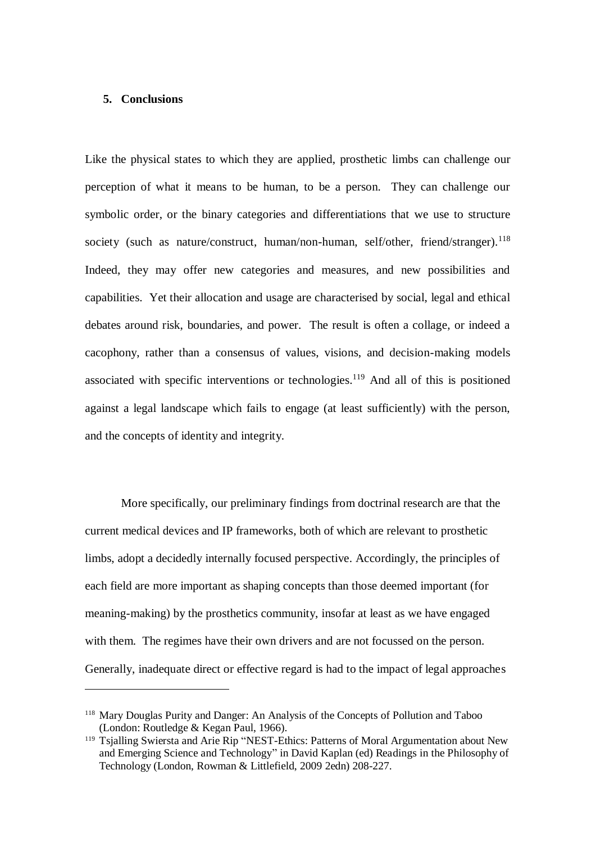#### **5. Conclusions**

 $\overline{a}$ 

Like the physical states to which they are applied, prosthetic limbs can challenge our perception of what it means to be human, to be a person. They can challenge our symbolic order, or the binary categories and differentiations that we use to structure society (such as nature/construct, human/non-human, self/other, friend/stranger).<sup>118</sup> Indeed, they may offer new categories and measures, and new possibilities and capabilities. Yet their allocation and usage are characterised by social, legal and ethical debates around risk, boundaries, and power. The result is often a collage, or indeed a cacophony, rather than a consensus of values, visions, and decision-making models associated with specific interventions or technologies.<sup>119</sup> And all of this is positioned against a legal landscape which fails to engage (at least sufficiently) with the person, and the concepts of identity and integrity.

More specifically, our preliminary findings from doctrinal research are that the current medical devices and IP frameworks, both of which are relevant to prosthetic limbs, adopt a decidedly internally focused perspective. Accordingly, the principles of each field are more important as shaping concepts than those deemed important (for meaning-making) by the prosthetics community, insofar at least as we have engaged with them. The regimes have their own drivers and are not focussed on the person. Generally, inadequate direct or effective regard is had to the impact of legal approaches

<sup>118</sup> Mary Douglas Purity and Danger: An Analysis of the Concepts of Pollution and Taboo (London: Routledge & Kegan Paul, 1966).

<sup>&</sup>lt;sup>119</sup> Tsjalling Swiersta and Arie Rip "NEST-Ethics: Patterns of Moral Argumentation about New and Emerging Science and Technology" in David Kaplan (ed) Readings in the Philosophy of Technology (London, Rowman & Littlefield, 2009 2edn) 208-227.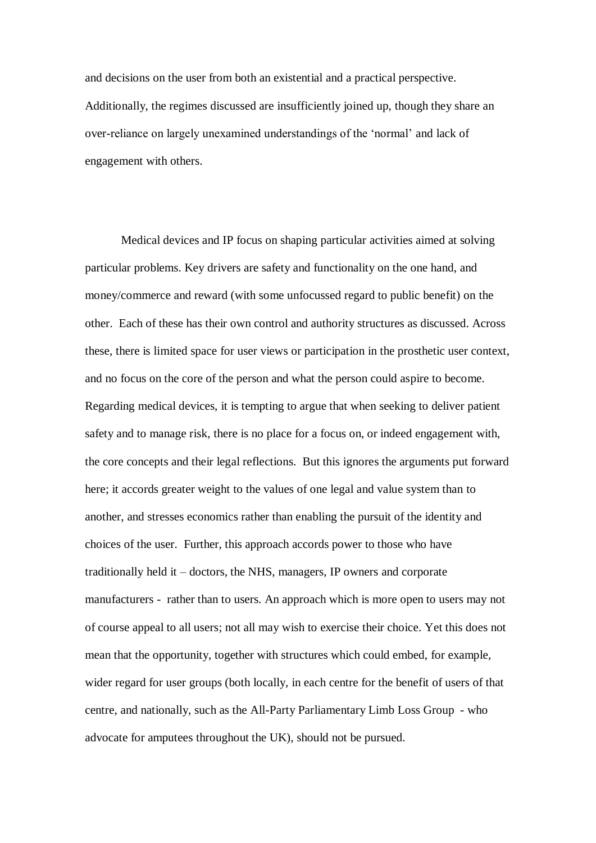and decisions on the user from both an existential and a practical perspective. Additionally, the regimes discussed are insufficiently joined up, though they share an over-reliance on largely unexamined understandings of the 'normal' and lack of engagement with others.

Medical devices and IP focus on shaping particular activities aimed at solving particular problems. Key drivers are safety and functionality on the one hand, and money/commerce and reward (with some unfocussed regard to public benefit) on the other. Each of these has their own control and authority structures as discussed. Across these, there is limited space for user views or participation in the prosthetic user context, and no focus on the core of the person and what the person could aspire to become. Regarding medical devices, it is tempting to argue that when seeking to deliver patient safety and to manage risk, there is no place for a focus on, or indeed engagement with, the core concepts and their legal reflections. But this ignores the arguments put forward here; it accords greater weight to the values of one legal and value system than to another, and stresses economics rather than enabling the pursuit of the identity and choices of the user. Further, this approach accords power to those who have traditionally held it – doctors, the NHS, managers, IP owners and corporate manufacturers - rather than to users. An approach which is more open to users may not of course appeal to all users; not all may wish to exercise their choice. Yet this does not mean that the opportunity, together with structures which could embed, for example, wider regard for user groups (both locally, in each centre for the benefit of users of that centre, and nationally, such as the All-Party Parliamentary Limb Loss Group - who advocate for amputees throughout the UK), should not be pursued.